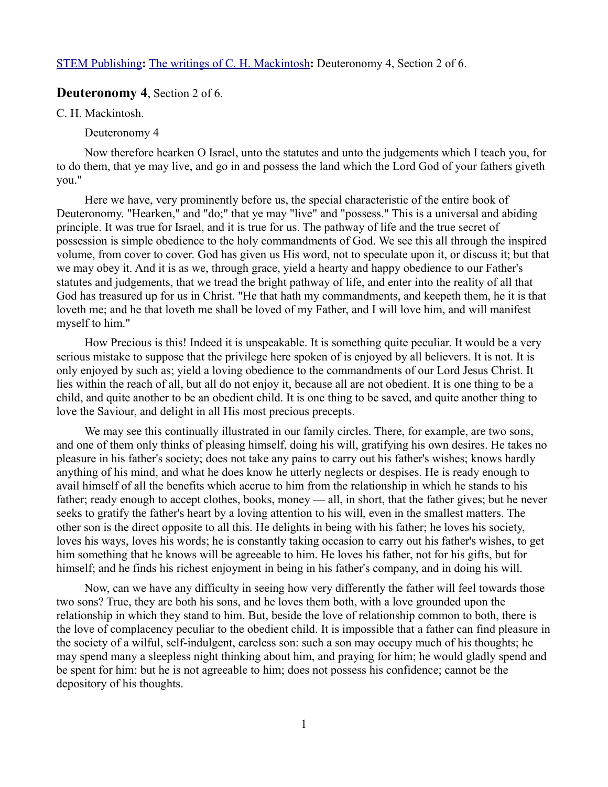## **Deuteronomy 4**, Section 2 of 6.

C. H. Mackintosh.

Deuteronomy 4

Now therefore hearken O Israel, unto the statutes and unto the judgements which I teach you, for to do them, that ye may live, and go in and possess the land which the Lord God of your fathers giveth you."

Here we have, very prominently before us, the special characteristic of the entire book of Deuteronomy. "Hearken," and "do;" that ye may "live" and "possess." This is a universal and abiding principle. It was true for Israel, and it is true for us. The pathway of life and the true secret of possession is simple obedience to the holy commandments of God. We see this all through the inspired volume, from cover to cover. God has given us His word, not to speculate upon it, or discuss it; but that we may obey it. And it is as we, through grace, yield a hearty and happy obedience to our Father's statutes and judgements, that we tread the bright pathway of life, and enter into the reality of all that God has treasured up for us in Christ. "He that hath my commandments, and keepeth them, he it is that loveth me; and he that loveth me shall be loved of my Father, and I will love him, and will manifest myself to him."

How Precious is this! Indeed it is unspeakable. It is something quite peculiar. It would be a very serious mistake to suppose that the privilege here spoken of is enjoyed by all believers. It is not. It is only enjoyed by such as; yield a loving obedience to the commandments of our Lord Jesus Christ. It lies within the reach of all, but all do not enjoy it, because all are not obedient. It is one thing to be a child, and quite another to be an obedient child. It is one thing to be saved, and quite another thing to love the Saviour, and delight in all His most precious precepts.

We may see this continually illustrated in our family circles. There, for example, are two sons, and one of them only thinks of pleasing himself, doing his will, gratifying his own desires. He takes no pleasure in his father's society; does not take any pains to carry out his father's wishes; knows hardly anything of his mind, and what he does know he utterly neglects or despises. He is ready enough to avail himself of all the benefits which accrue to him from the relationship in which he stands to his father; ready enough to accept clothes, books, money — all, in short, that the father gives; but he never seeks to gratify the father's heart by a loving attention to his will, even in the smallest matters. The other son is the direct opposite to all this. He delights in being with his father; he loves his society, loves his ways, loves his words; he is constantly taking occasion to carry out his father's wishes, to get him something that he knows will be agreeable to him. He loves his father, not for his gifts, but for himself; and he finds his richest enjoyment in being in his father's company, and in doing his will.

Now, can we have any difficulty in seeing how very differently the father will feel towards those two sons? True, they are both his sons, and he loves them both, with a love grounded upon the relationship in which they stand to him. But, beside the love of relationship common to both, there is the love of complacency peculiar to the obedient child. It is impossible that a father can find pleasure in the society of a wilful, self-indulgent, careless son: such a son may occupy much of his thoughts; he may spend many a sleepless night thinking about him, and praying for him; he would gladly spend and be spent for him: but he is not agreeable to him; does not possess his confidence; cannot be the depository of his thoughts.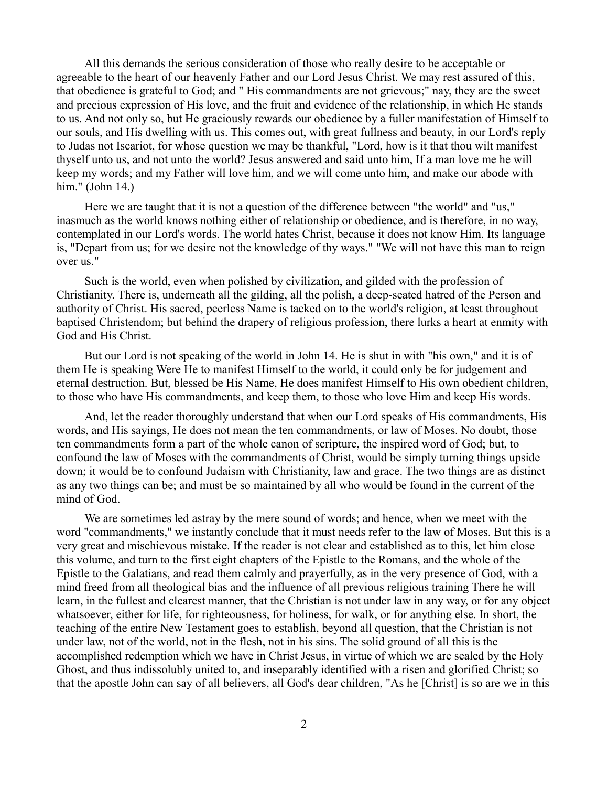All this demands the serious consideration of those who really desire to be acceptable or agreeable to the heart of our heavenly Father and our Lord Jesus Christ. We may rest assured of this, that obedience is grateful to God; and " His commandments are not grievous;" nay, they are the sweet and precious expression of His love, and the fruit and evidence of the relationship, in which He stands to us. And not only so, but He graciously rewards our obedience by a fuller manifestation of Himself to our souls, and His dwelling with us. This comes out, with great fullness and beauty, in our Lord's reply to Judas not Iscariot, for whose question we may be thankful, "Lord, how is it that thou wilt manifest thyself unto us, and not unto the world? Jesus answered and said unto him, If a man love me he will keep my words; and my Father will love him, and we will come unto him, and make our abode with him." (John 14.)

Here we are taught that it is not a question of the difference between "the world" and "us," inasmuch as the world knows nothing either of relationship or obedience, and is therefore, in no way, contemplated in our Lord's words. The world hates Christ, because it does not know Him. Its language is, "Depart from us; for we desire not the knowledge of thy ways." "We will not have this man to reign over us."

Such is the world, even when polished by civilization, and gilded with the profession of Christianity. There is, underneath all the gilding, all the polish, a deep-seated hatred of the Person and authority of Christ. His sacred, peerless Name is tacked on to the world's religion, at least throughout baptised Christendom; but behind the drapery of religious profession, there lurks a heart at enmity with God and His Christ.

But our Lord is not speaking of the world in John 14. He is shut in with "his own," and it is of them He is speaking Were He to manifest Himself to the world, it could only be for judgement and eternal destruction. But, blessed be His Name, He does manifest Himself to His own obedient children, to those who have His commandments, and keep them, to those who love Him and keep His words.

And, let the reader thoroughly understand that when our Lord speaks of His commandments, His words, and His sayings, He does not mean the ten commandments, or law of Moses. No doubt, those ten commandments form a part of the whole canon of scripture, the inspired word of God; but, to confound the law of Moses with the commandments of Christ, would be simply turning things upside down; it would be to confound Judaism with Christianity, law and grace. The two things are as distinct as any two things can be; and must be so maintained by all who would be found in the current of the mind of God.

We are sometimes led astray by the mere sound of words; and hence, when we meet with the word "commandments," we instantly conclude that it must needs refer to the law of Moses. But this is a very great and mischievous mistake. If the reader is not clear and established as to this, let him close this volume, and turn to the first eight chapters of the Epistle to the Romans, and the whole of the Epistle to the Galatians, and read them calmly and prayerfully, as in the very presence of God, with a mind freed from all theological bias and the influence of all previous religious training There he will learn, in the fullest and clearest manner, that the Christian is not under law in any way, or for any object whatsoever, either for life, for righteousness, for holiness, for walk, or for anything else. In short, the teaching of the entire New Testament goes to establish, beyond all question, that the Christian is not under law, not of the world, not in the flesh, not in his sins. The solid ground of all this is the accomplished redemption which we have in Christ Jesus, in virtue of which we are sealed by the Holy Ghost, and thus indissolubly united to, and inseparably identified with a risen and glorified Christ; so that the apostle John can say of all believers, all God's dear children, "As he [Christ] is so are we in this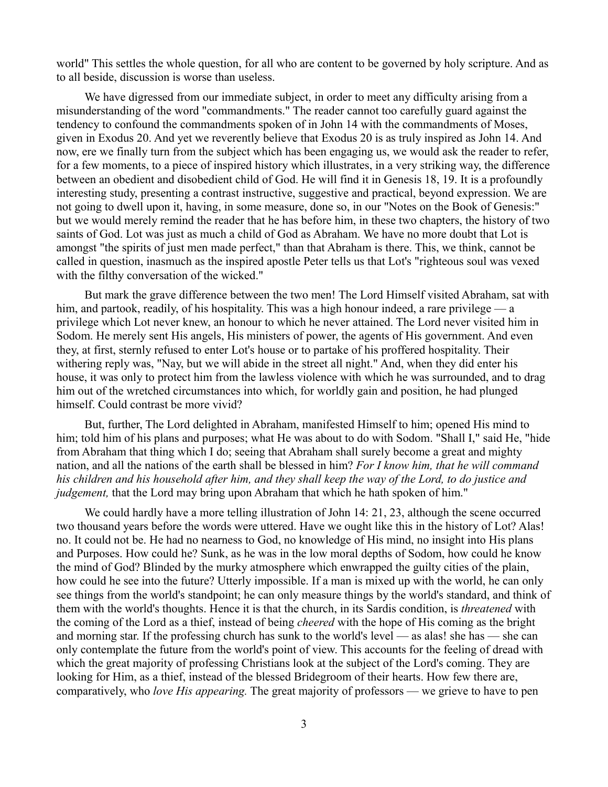world" This settles the whole question, for all who are content to be governed by holy scripture. And as to all beside, discussion is worse than useless.

We have digressed from our immediate subject, in order to meet any difficulty arising from a misunderstanding of the word "commandments." The reader cannot too carefully guard against the tendency to confound the commandments spoken of in John 14 with the commandments of Moses, given in Exodus 20. And yet we reverently believe that Exodus 20 is as truly inspired as John 14. And now, ere we finally turn from the subject which has been engaging us, we would ask the reader to refer, for a few moments, to a piece of inspired history which illustrates, in a very striking way, the difference between an obedient and disobedient child of God. He will find it in Genesis 18, 19. It is a profoundly interesting study, presenting a contrast instructive, suggestive and practical, beyond expression. We are not going to dwell upon it, having, in some measure, done so, in our "Notes on the Book of Genesis:" but we would merely remind the reader that he has before him, in these two chapters, the history of two saints of God. Lot was just as much a child of God as Abraham. We have no more doubt that Lot is amongst "the spirits of just men made perfect," than that Abraham is there. This, we think, cannot be called in question, inasmuch as the inspired apostle Peter tells us that Lot's "righteous soul was vexed with the filthy conversation of the wicked."

But mark the grave difference between the two men! The Lord Himself visited Abraham, sat with him, and partook, readily, of his hospitality. This was a high honour indeed, a rare privilege — a privilege which Lot never knew, an honour to which he never attained. The Lord never visited him in Sodom. He merely sent His angels, His ministers of power, the agents of His government. And even they, at first, sternly refused to enter Lot's house or to partake of his proffered hospitality. Their withering reply was, "Nay, but we will abide in the street all night." And, when they did enter his house, it was only to protect him from the lawless violence with which he was surrounded, and to drag him out of the wretched circumstances into which, for worldly gain and position, he had plunged himself. Could contrast be more vivid?

But, further, The Lord delighted in Abraham, manifested Himself to him; opened His mind to him; told him of his plans and purposes; what He was about to do with Sodom. "Shall I," said He, "hide from Abraham that thing which I do; seeing that Abraham shall surely become a great and mighty nation, and all the nations of the earth shall be blessed in him? *For I know him, that he will command his children and his household after him, and they shall keep the way of the Lord, to do justice and judgement*, that the Lord may bring upon Abraham that which he hath spoken of him."

We could hardly have a more telling illustration of John 14: 21, 23, although the scene occurred two thousand years before the words were uttered. Have we ought like this in the history of Lot? Alas! no. It could not be. He had no nearness to God, no knowledge of His mind, no insight into His plans and Purposes. How could he? Sunk, as he was in the low moral depths of Sodom, how could he know the mind of God? Blinded by the murky atmosphere which enwrapped the guilty cities of the plain, how could he see into the future? Utterly impossible. If a man is mixed up with the world, he can only see things from the world's standpoint; he can only measure things by the world's standard, and think of them with the world's thoughts. Hence it is that the church, in its Sardis condition, is *threatened* with the coming of the Lord as a thief, instead of being *cheered* with the hope of His coming as the bright and morning star. If the professing church has sunk to the world's level — as alas! she has — she can only contemplate the future from the world's point of view. This accounts for the feeling of dread with which the great majority of professing Christians look at the subject of the Lord's coming. They are looking for Him, as a thief, instead of the blessed Bridegroom of their hearts. How few there are, comparatively, who *love His appearing.* The great majority of professors — we grieve to have to pen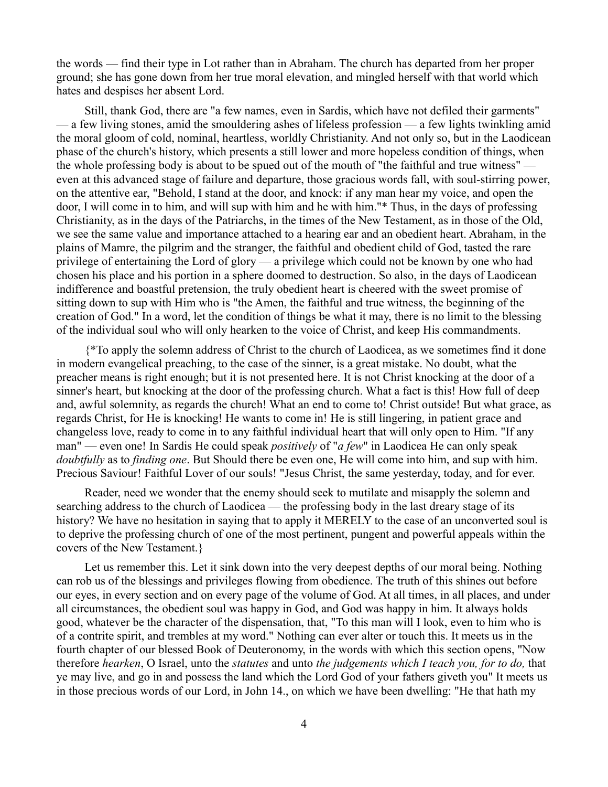the words — find their type in Lot rather than in Abraham. The church has departed from her proper ground; she has gone down from her true moral elevation, and mingled herself with that world which hates and despises her absent Lord.

Still, thank God, there are "a few names, even in Sardis, which have not defiled their garments" — a few living stones, amid the smouldering ashes of lifeless profession — a few lights twinkling amid the moral gloom of cold, nominal, heartless, worldly Christianity. And not only so, but in the Laodicean phase of the church's history, which presents a still lower and more hopeless condition of things, when the whole professing body is about to be spued out of the mouth of "the faithful and true witness" even at this advanced stage of failure and departure, those gracious words fall, with soul-stirring power, on the attentive ear, "Behold, I stand at the door, and knock: if any man hear my voice, and open the door, I will come in to him, and will sup with him and he with him."\* Thus, in the days of professing Christianity, as in the days of the Patriarchs, in the times of the New Testament, as in those of the Old, we see the same value and importance attached to a hearing ear and an obedient heart. Abraham, in the plains of Mamre, the pilgrim and the stranger, the faithful and obedient child of God, tasted the rare privilege of entertaining the Lord of glory — a privilege which could not be known by one who had chosen his place and his portion in a sphere doomed to destruction. So also, in the days of Laodicean indifference and boastful pretension, the truly obedient heart is cheered with the sweet promise of sitting down to sup with Him who is "the Amen, the faithful and true witness, the beginning of the creation of God." In a word, let the condition of things be what it may, there is no limit to the blessing of the individual soul who will only hearken to the voice of Christ, and keep His commandments.

{\*To apply the solemn address of Christ to the church of Laodicea, as we sometimes find it done in modern evangelical preaching, to the case of the sinner, is a great mistake. No doubt, what the preacher means is right enough; but it is not presented here. It is not Christ knocking at the door of a sinner's heart, but knocking at the door of the professing church. What a fact is this! How full of deep and, awful solemnity, as regards the church! What an end to come to! Christ outside! But what grace, as regards Christ, for He is knocking! He wants to come in! He is still lingering, in patient grace and changeless love, ready to come in to any faithful individual heart that will only open to Him. "If any man" — even one! In Sardis He could speak *positively* of "*a few*" in Laodicea He can only speak *doubtfully* as to *finding one*. But Should there be even one, He will come into him, and sup with him. Precious Saviour! Faithful Lover of our souls! "Jesus Christ, the same yesterday, today, and for ever.

Reader, need we wonder that the enemy should seek to mutilate and misapply the solemn and searching address to the church of Laodicea — the professing body in the last dreary stage of its history? We have no hesitation in saying that to apply it MERELY to the case of an unconverted soul is to deprive the professing church of one of the most pertinent, pungent and powerful appeals within the covers of the New Testament.}

Let us remember this. Let it sink down into the very deepest depths of our moral being. Nothing can rob us of the blessings and privileges flowing from obedience. The truth of this shines out before our eyes, in every section and on every page of the volume of God. At all times, in all places, and under all circumstances, the obedient soul was happy in God, and God was happy in him. It always holds good, whatever be the character of the dispensation, that, "To this man will I look, even to him who is of a contrite spirit, and trembles at my word." Nothing can ever alter or touch this. It meets us in the fourth chapter of our blessed Book of Deuteronomy, in the words with which this section opens, "Now therefore *hearken*, O Israel, unto the *statutes* and unto *the judgements which I teach you, for to do,* that ye may live, and go in and possess the land which the Lord God of your fathers giveth you" It meets us in those precious words of our Lord, in John 14., on which we have been dwelling: "He that hath my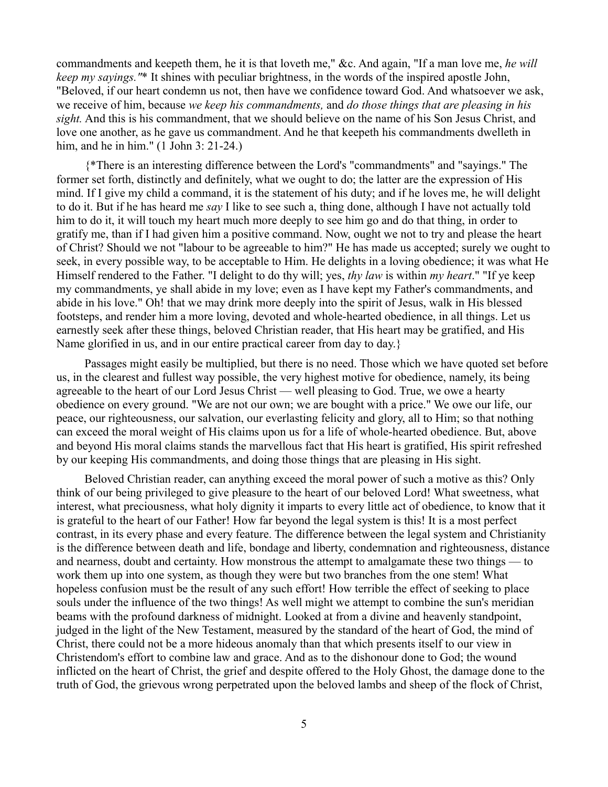commandments and keepeth them, he it is that loveth me," &c. And again, "If a man love me, *he will keep my sayings."*\* It shines with peculiar brightness, in the words of the inspired apostle John, "Beloved, if our heart condemn us not, then have we confidence toward God. And whatsoever we ask, we receive of him, because *we keep his commandments,* and *do those things that are pleasing in his sight.* And this is his commandment, that we should believe on the name of his Son Jesus Christ, and love one another, as he gave us commandment. And he that keepeth his commandments dwelleth in him, and he in him." (1 John 3: 21-24.)

{\*There is an interesting difference between the Lord's "commandments" and "sayings." The former set forth, distinctly and definitely, what we ought to do; the latter are the expression of His mind. If I give my child a command, it is the statement of his duty; and if he loves me, he will delight to do it. But if he has heard me *say* I like to see such a, thing done, although I have not actually told him to do it, it will touch my heart much more deeply to see him go and do that thing, in order to gratify me, than if I had given him a positive command. Now, ought we not to try and please the heart of Christ? Should we not "labour to be agreeable to him?" He has made us accepted; surely we ought to seek, in every possible way, to be acceptable to Him. He delights in a loving obedience; it was what He Himself rendered to the Father. "I delight to do thy will; yes, *thy law* is within *my heart*." "If ye keep my commandments, ye shall abide in my love; even as I have kept my Father's commandments, and abide in his love." Oh! that we may drink more deeply into the spirit of Jesus, walk in His blessed footsteps, and render him a more loving, devoted and whole-hearted obedience, in all things. Let us earnestly seek after these things, beloved Christian reader, that His heart may be gratified, and His Name glorified in us, and in our entire practical career from day to day.}

Passages might easily be multiplied, but there is no need. Those which we have quoted set before us, in the clearest and fullest way possible, the very highest motive for obedience, namely, its being agreeable to the heart of our Lord Jesus Christ — well pleasing to God. True, we owe a hearty obedience on every ground. "We are not our own; we are bought with a price." We owe our life, our peace, our righteousness, our salvation, our everlasting felicity and glory, all to Him; so that nothing can exceed the moral weight of His claims upon us for a life of whole-hearted obedience. But, above and beyond His moral claims stands the marvellous fact that His heart is gratified, His spirit refreshed by our keeping His commandments, and doing those things that are pleasing in His sight.

Beloved Christian reader, can anything exceed the moral power of such a motive as this? Only think of our being privileged to give pleasure to the heart of our beloved Lord! What sweetness, what interest, what preciousness, what holy dignity it imparts to every little act of obedience, to know that it is grateful to the heart of our Father! How far beyond the legal system is this! It is a most perfect contrast, in its every phase and every feature. The difference between the legal system and Christianity is the difference between death and life, bondage and liberty, condemnation and righteousness, distance and nearness, doubt and certainty. How monstrous the attempt to amalgamate these two things — to work them up into one system, as though they were but two branches from the one stem! What hopeless confusion must be the result of any such effort! How terrible the effect of seeking to place souls under the influence of the two things! As well might we attempt to combine the sun's meridian beams with the profound darkness of midnight. Looked at from a divine and heavenly standpoint, judged in the light of the New Testament, measured by the standard of the heart of God, the mind of Christ, there could not be a more hideous anomaly than that which presents itself to our view in Christendom's effort to combine law and grace. And as to the dishonour done to God; the wound inflicted on the heart of Christ, the grief and despite offered to the Holy Ghost, the damage done to the truth of God, the grievous wrong perpetrated upon the beloved lambs and sheep of the flock of Christ,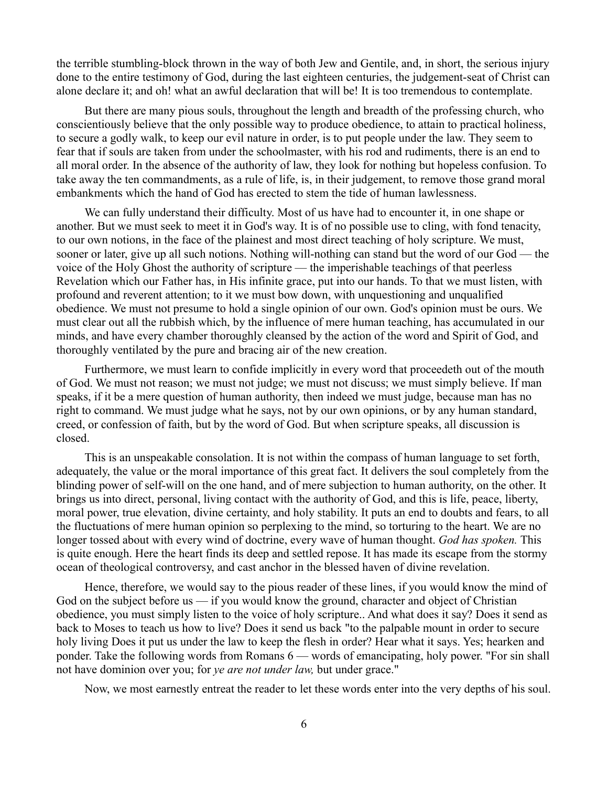the terrible stumbling-block thrown in the way of both Jew and Gentile, and, in short, the serious injury done to the entire testimony of God, during the last eighteen centuries, the judgement-seat of Christ can alone declare it; and oh! what an awful declaration that will be! It is too tremendous to contemplate.

But there are many pious souls, throughout the length and breadth of the professing church, who conscientiously believe that the only possible way to produce obedience, to attain to practical holiness, to secure a godly walk, to keep our evil nature in order, is to put people under the law. They seem to fear that if souls are taken from under the schoolmaster, with his rod and rudiments, there is an end to all moral order. In the absence of the authority of law, they look for nothing but hopeless confusion. To take away the ten commandments, as a rule of life, is, in their judgement, to remove those grand moral embankments which the hand of God has erected to stem the tide of human lawlessness.

We can fully understand their difficulty. Most of us have had to encounter it, in one shape or another. But we must seek to meet it in God's way. It is of no possible use to cling, with fond tenacity, to our own notions, in the face of the plainest and most direct teaching of holy scripture. We must, sooner or later, give up all such notions. Nothing will-nothing can stand but the word of our God — the voice of the Holy Ghost the authority of scripture — the imperishable teachings of that peerless Revelation which our Father has, in His infinite grace, put into our hands. To that we must listen, with profound and reverent attention; to it we must bow down, with unquestioning and unqualified obedience. We must not presume to hold a single opinion of our own. God's opinion must be ours. We must clear out all the rubbish which, by the influence of mere human teaching, has accumulated in our minds, and have every chamber thoroughly cleansed by the action of the word and Spirit of God, and thoroughly ventilated by the pure and bracing air of the new creation.

Furthermore, we must learn to confide implicitly in every word that proceedeth out of the mouth of God. We must not reason; we must not judge; we must not discuss; we must simply believe. If man speaks, if it be a mere question of human authority, then indeed we must judge, because man has no right to command. We must judge what he says, not by our own opinions, or by any human standard, creed, or confession of faith, but by the word of God. But when scripture speaks, all discussion is closed.

This is an unspeakable consolation. It is not within the compass of human language to set forth, adequately, the value or the moral importance of this great fact. It delivers the soul completely from the blinding power of self-will on the one hand, and of mere subjection to human authority, on the other. It brings us into direct, personal, living contact with the authority of God, and this is life, peace, liberty, moral power, true elevation, divine certainty, and holy stability. It puts an end to doubts and fears, to all the fluctuations of mere human opinion so perplexing to the mind, so torturing to the heart. We are no longer tossed about with every wind of doctrine, every wave of human thought. *God has spoken.* This is quite enough. Here the heart finds its deep and settled repose. It has made its escape from the stormy ocean of theological controversy, and cast anchor in the blessed haven of divine revelation.

Hence, therefore, we would say to the pious reader of these lines, if you would know the mind of God on the subject before us — if you would know the ground, character and object of Christian obedience, you must simply listen to the voice of holy scripture.. And what does it say? Does it send as back to Moses to teach us how to live? Does it send us back "to the palpable mount in order to secure holy living Does it put us under the law to keep the flesh in order? Hear what it says. Yes; hearken and ponder. Take the following words from Romans 6 — words of emancipating, holy power. "For sin shall not have dominion over you; for *ye are not under law,* but under grace."

Now, we most earnestly entreat the reader to let these words enter into the very depths of his soul.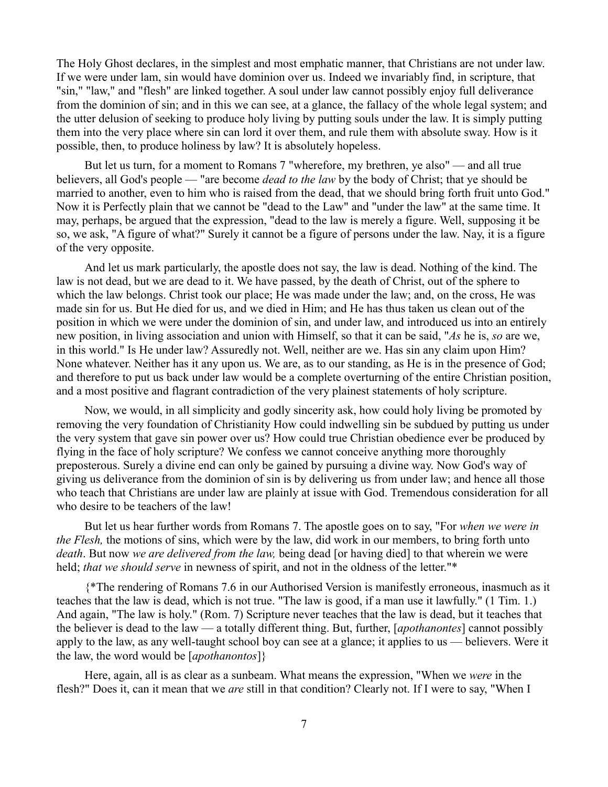The Holy Ghost declares, in the simplest and most emphatic manner, that Christians are not under law. If we were under lam, sin would have dominion over us. Indeed we invariably find, in scripture, that "sin," "law," and "flesh" are linked together. A soul under law cannot possibly enjoy full deliverance from the dominion of sin; and in this we can see, at a glance, the fallacy of the whole legal system; and the utter delusion of seeking to produce holy living by putting souls under the law. It is simply putting them into the very place where sin can lord it over them, and rule them with absolute sway. How is it possible, then, to produce holiness by law? It is absolutely hopeless.

But let us turn, for a moment to Romans 7 "wherefore, my brethren, ye also" — and all true believers, all God's people — "are become *dead to the law* by the body of Christ; that ye should be married to another, even to him who is raised from the dead, that we should bring forth fruit unto God." Now it is Perfectly plain that we cannot be "dead to the Law" and "under the law" at the same time. It may, perhaps, be argued that the expression, "dead to the law is merely a figure. Well, supposing it be so, we ask, "A figure of what?" Surely it cannot be a figure of persons under the law. Nay, it is a figure of the very opposite.

And let us mark particularly, the apostle does not say, the law is dead. Nothing of the kind. The law is not dead, but we are dead to it. We have passed, by the death of Christ, out of the sphere to which the law belongs. Christ took our place; He was made under the law; and, on the cross, He was made sin for us. But He died for us, and we died in Him; and He has thus taken us clean out of the position in which we were under the dominion of sin, and under law, and introduced us into an entirely new position, in living association and union with Himself, so that it can be said, "*As* he is, *so* are we, in this world." Is He under law? Assuredly not. Well, neither are we. Has sin any claim upon Him? None whatever. Neither has it any upon us. We are, as to our standing, as He is in the presence of God; and therefore to put us back under law would be a complete overturning of the entire Christian position, and a most positive and flagrant contradiction of the very plainest statements of holy scripture.

Now, we would, in all simplicity and godly sincerity ask, how could holy living be promoted by removing the very foundation of Christianity How could indwelling sin be subdued by putting us under the very system that gave sin power over us? How could true Christian obedience ever be produced by flying in the face of holy scripture? We confess we cannot conceive anything more thoroughly preposterous. Surely a divine end can only be gained by pursuing a divine way. Now God's way of giving us deliverance from the dominion of sin is by delivering us from under law; and hence all those who teach that Christians are under law are plainly at issue with God. Tremendous consideration for all who desire to be teachers of the law!

But let us hear further words from Romans 7. The apostle goes on to say, "For *when we were in the Flesh,* the motions of sins, which were by the law, did work in our members, to bring forth unto *death*. But now *we are delivered from the law,* being dead [or having died] to that wherein we were held; *that we should serve* in newness of spirit, and not in the oldness of the letter."\*

{\*The rendering of Romans 7.6 in our Authorised Version is manifestly erroneous, inasmuch as it teaches that the law is dead, which is not true. "The law is good, if a man use it lawfully." (1 Tim. 1.) And again, "The law is holy." (Rom. 7) Scripture never teaches that the law is dead, but it teaches that the believer is dead to the law — a totally different thing. But, further, [*apothanontes*] cannot possibly apply to the law, as any well-taught school boy can see at a glance; it applies to us — believers. Were it the law, the word would be [*apothanontos*]}

Here, again, all is as clear as a sunbeam. What means the expression, "When we *were* in the flesh?" Does it, can it mean that we *are* still in that condition? Clearly not. If I were to say, "When I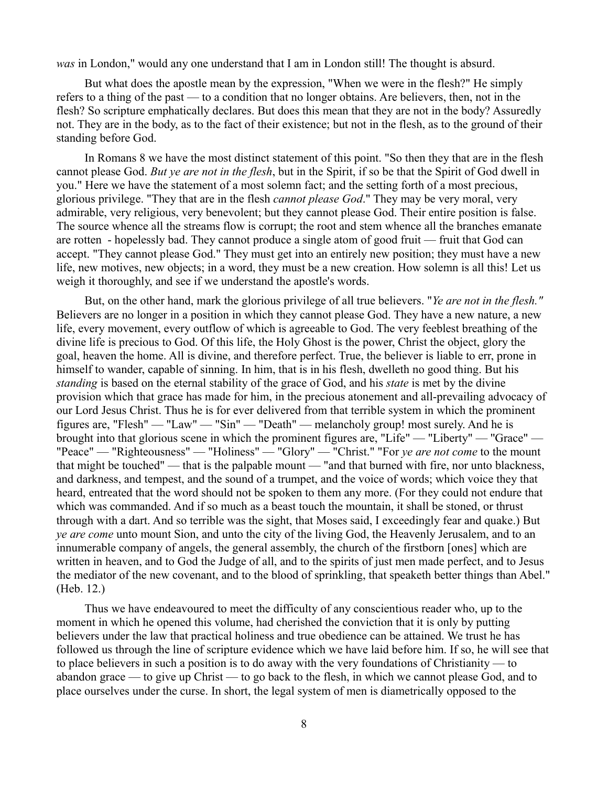*was* in London," would any one understand that I am in London still! The thought is absurd.

But what does the apostle mean by the expression, "When we were in the flesh?" He simply refers to a thing of the past — to a condition that no longer obtains. Are believers, then, not in the flesh? So scripture emphatically declares. But does this mean that they are not in the body? Assuredly not. They are in the body, as to the fact of their existence; but not in the flesh, as to the ground of their standing before God.

In Romans 8 we have the most distinct statement of this point. "So then they that are in the flesh cannot please God. *But ye are not in the flesh*, but in the Spirit, if so be that the Spirit of God dwell in you." Here we have the statement of a most solemn fact; and the setting forth of a most precious, glorious privilege. "They that are in the flesh *cannot please God*." They may be very moral, very admirable, very religious, very benevolent; but they cannot please God. Their entire position is false. The source whence all the streams flow is corrupt; the root and stem whence all the branches emanate are rotten - hopelessly bad. They cannot produce a single atom of good fruit — fruit that God can accept. "They cannot please God." They must get into an entirely new position; they must have a new life, new motives, new objects; in a word, they must be a new creation. How solemn is all this! Let us weigh it thoroughly, and see if we understand the apostle's words.

But, on the other hand, mark the glorious privilege of all true believers. "*Ye are not in the flesh."* Believers are no longer in a position in which they cannot please God. They have a new nature, a new life, every movement, every outflow of which is agreeable to God. The very feeblest breathing of the divine life is precious to God. Of this life, the Holy Ghost is the power, Christ the object, glory the goal, heaven the home. All is divine, and therefore perfect. True, the believer is liable to err, prone in himself to wander, capable of sinning. In him, that is in his flesh, dwelleth no good thing. But his *standing* is based on the eternal stability of the grace of God, and his *state* is met by the divine provision which that grace has made for him, in the precious atonement and all-prevailing advocacy of our Lord Jesus Christ. Thus he is for ever delivered from that terrible system in which the prominent figures are, "Flesh" — "Law" — "Sin" — "Death" — melancholy group! most surely. And he is brought into that glorious scene in which the prominent figures are, "Life" — "Liberty" — ''Grace" — "Peace" — "Righteousness" — "Holiness" — "Glory" — "Christ." "For *ye are not come* to the mount that might be touched" — that is the palpable mount — "and that burned with fire, nor unto blackness, and darkness, and tempest, and the sound of a trumpet, and the voice of words; which voice they that heard, entreated that the word should not be spoken to them any more. (For they could not endure that which was commanded. And if so much as a beast touch the mountain, it shall be stoned, or thrust through with a dart. And so terrible was the sight, that Moses said, I exceedingly fear and quake.) But *ye are come* unto mount Sion, and unto the city of the living God, the Heavenly Jerusalem, and to an innumerable company of angels, the general assembly, the church of the firstborn [ones] which are written in heaven, and to God the Judge of all, and to the spirits of just men made perfect, and to Jesus the mediator of the new covenant, and to the blood of sprinkling, that speaketh better things than Abel." (Heb. 12.)

Thus we have endeavoured to meet the difficulty of any conscientious reader who, up to the moment in which he opened this volume, had cherished the conviction that it is only by putting believers under the law that practical holiness and true obedience can be attained. We trust he has followed us through the line of scripture evidence which we have laid before him. If so, he will see that to place believers in such a position is to do away with the very foundations of Christianity — to abandon grace — to give up Christ — to go back to the flesh, in which we cannot please God, and to place ourselves under the curse. In short, the legal system of men is diametrically opposed to the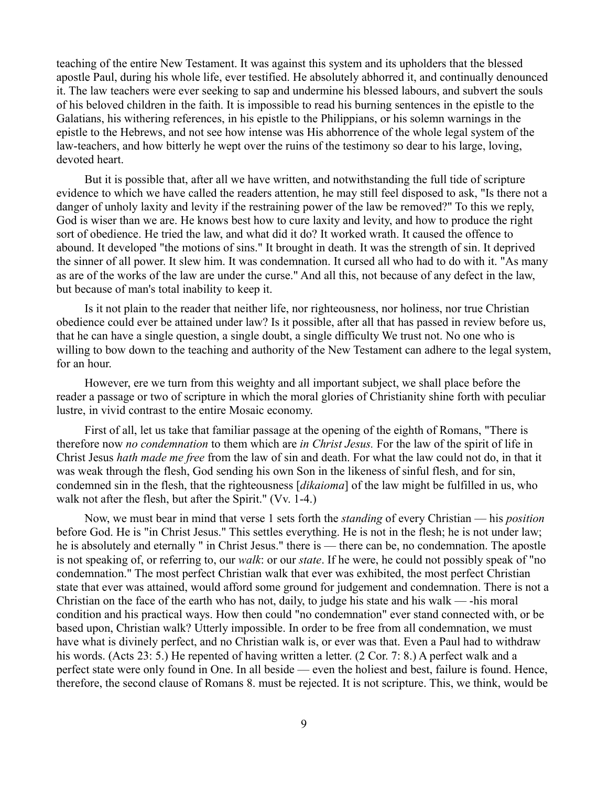teaching of the entire New Testament. It was against this system and its upholders that the blessed apostle Paul, during his whole life, ever testified. He absolutely abhorred it, and continually denounced it. The law teachers were ever seeking to sap and undermine his blessed labours, and subvert the souls of his beloved children in the faith. It is impossible to read his burning sentences in the epistle to the Galatians, his withering references, in his epistle to the Philippians, or his solemn warnings in the epistle to the Hebrews, and not see how intense was His abhorrence of the whole legal system of the law-teachers, and how bitterly he wept over the ruins of the testimony so dear to his large, loving, devoted heart.

But it is possible that, after all we have written, and notwithstanding the full tide of scripture evidence to which we have called the readers attention, he may still feel disposed to ask, "Is there not a danger of unholy laxity and levity if the restraining power of the law be removed?" To this we reply, God is wiser than we are. He knows best how to cure laxity and levity, and how to produce the right sort of obedience. He tried the law, and what did it do? It worked wrath. It caused the offence to abound. It developed "the motions of sins." It brought in death. It was the strength of sin. It deprived the sinner of all power. It slew him. It was condemnation. It cursed all who had to do with it. "As many as are of the works of the law are under the curse." And all this, not because of any defect in the law, but because of man's total inability to keep it.

Is it not plain to the reader that neither life, nor righteousness, nor holiness, nor true Christian obedience could ever be attained under law? Is it possible, after all that has passed in review before us, that he can have a single question, a single doubt, a single difficulty We trust not. No one who is willing to bow down to the teaching and authority of the New Testament can adhere to the legal system, for an hour.

However, ere we turn from this weighty and all important subject, we shall place before the reader a passage or two of scripture in which the moral glories of Christianity shine forth with peculiar lustre, in vivid contrast to the entire Mosaic economy.

First of all, let us take that familiar passage at the opening of the eighth of Romans, "There is therefore now *no condemnation* to them which are *in Christ Jesus.* For the law of the spirit of life in Christ Jesus *hath made me free* from the law of sin and death. For what the law could not do, in that it was weak through the flesh, God sending his own Son in the likeness of sinful flesh, and for sin, condemned sin in the flesh, that the righteousness [*dikaioma*] of the law might be fulfilled in us, who walk not after the flesh, but after the Spirit." (Vv. 1-4.)

Now, we must bear in mind that verse 1 sets forth the *standing* of every Christian — his *position* before God. He is "in Christ Jesus." This settles everything. He is not in the flesh; he is not under law; he is absolutely and eternally " in Christ Jesus." there is — there can be, no condemnation. The apostle is not speaking of, or referring to, our *walk*: or our *state*. If he were, he could not possibly speak of "no condemnation." The most perfect Christian walk that ever was exhibited, the most perfect Christian state that ever was attained, would afford some ground for judgement and condemnation. There is not a Christian on the face of the earth who has not, daily, to judge his state and his walk — -his moral condition and his practical ways. How then could "no condemnation" ever stand connected with, or be based upon, Christian walk? Utterly impossible. In order to be free from all condemnation, we must have what is divinely perfect, and no Christian walk is, or ever was that. Even a Paul had to withdraw his words. (Acts 23: 5.) He repented of having written a letter. (2 Cor. 7: 8.) A perfect walk and a perfect state were only found in One. In all beside — even the holiest and best, failure is found. Hence, therefore, the second clause of Romans 8. must be rejected. It is not scripture. This, we think, would be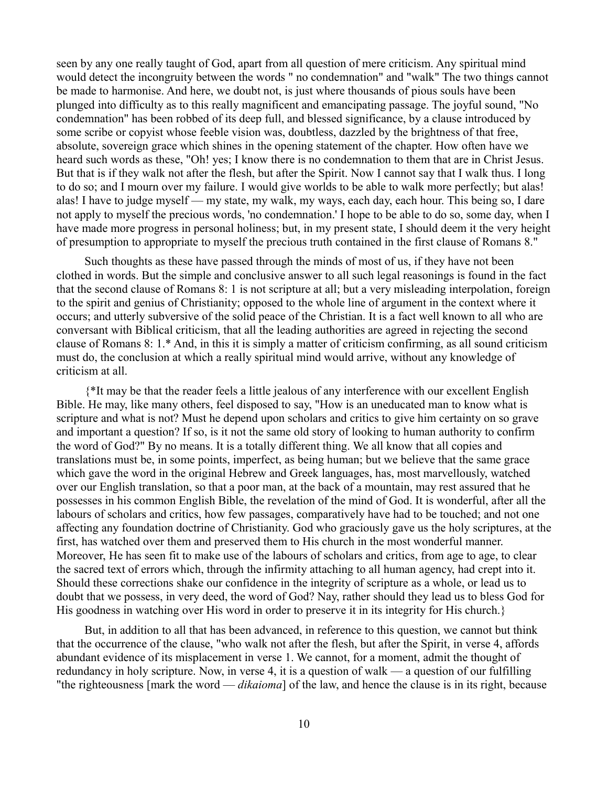seen by any one really taught of God, apart from all question of mere criticism. Any spiritual mind would detect the incongruity between the words " no condemnation" and "walk" The two things cannot be made to harmonise. And here, we doubt not, is just where thousands of pious souls have been plunged into difficulty as to this really magnificent and emancipating passage. The joyful sound, "No condemnation" has been robbed of its deep full, and blessed significance, by a clause introduced by some scribe or copyist whose feeble vision was, doubtless, dazzled by the brightness of that free, absolute, sovereign grace which shines in the opening statement of the chapter. How often have we heard such words as these, "Oh! yes; I know there is no condemnation to them that are in Christ Jesus. But that is if they walk not after the flesh, but after the Spirit. Now I cannot say that I walk thus. I long to do so; and I mourn over my failure. I would give worlds to be able to walk more perfectly; but alas! alas! I have to judge myself — my state, my walk, my ways, each day, each hour. This being so, I dare not apply to myself the precious words, 'no condemnation.' I hope to be able to do so, some day, when I have made more progress in personal holiness; but, in my present state, I should deem it the very height of presumption to appropriate to myself the precious truth contained in the first clause of Romans 8."

Such thoughts as these have passed through the minds of most of us, if they have not been clothed in words. But the simple and conclusive answer to all such legal reasonings is found in the fact that the second clause of Romans 8: 1 is not scripture at all; but a very misleading interpolation, foreign to the spirit and genius of Christianity; opposed to the whole line of argument in the context where it occurs; and utterly subversive of the solid peace of the Christian. It is a fact well known to all who are conversant with Biblical criticism, that all the leading authorities are agreed in rejecting the second clause of Romans 8: 1.\* And, in this it is simply a matter of criticism confirming, as all sound criticism must do, the conclusion at which a really spiritual mind would arrive, without any knowledge of criticism at all.

{\*It may be that the reader feels a little jealous of any interference with our excellent English Bible. He may, like many others, feel disposed to say, "How is an uneducated man to know what is scripture and what is not? Must he depend upon scholars and critics to give him certainty on so grave and important a question? If so, is it not the same old story of looking to human authority to confirm the word of God?" By no means. It is a totally different thing. We all know that all copies and translations must be, in some points, imperfect, as being human; but we believe that the same grace which gave the word in the original Hebrew and Greek languages, has, most marvellously, watched over our English translation, so that a poor man, at the back of a mountain, may rest assured that he possesses in his common English Bible, the revelation of the mind of God. It is wonderful, after all the labours of scholars and critics, how few passages, comparatively have had to be touched; and not one affecting any foundation doctrine of Christianity. God who graciously gave us the holy scriptures, at the first, has watched over them and preserved them to His church in the most wonderful manner. Moreover, He has seen fit to make use of the labours of scholars and critics, from age to age, to clear the sacred text of errors which, through the infirmity attaching to all human agency, had crept into it. Should these corrections shake our confidence in the integrity of scripture as a whole, or lead us to doubt that we possess, in very deed, the word of God? Nay, rather should they lead us to bless God for His goodness in watching over His word in order to preserve it in its integrity for His church.}

But, in addition to all that has been advanced, in reference to this question, we cannot but think that the occurrence of the clause, "who walk not after the flesh, but after the Spirit, in verse 4, affords abundant evidence of its misplacement in verse 1. We cannot, for a moment, admit the thought of redundancy in holy scripture. Now, in verse 4, it is a question of walk — a question of our fulfilling "the righteousness [mark the word — *dikaioma*] of the law, and hence the clause is in its right, because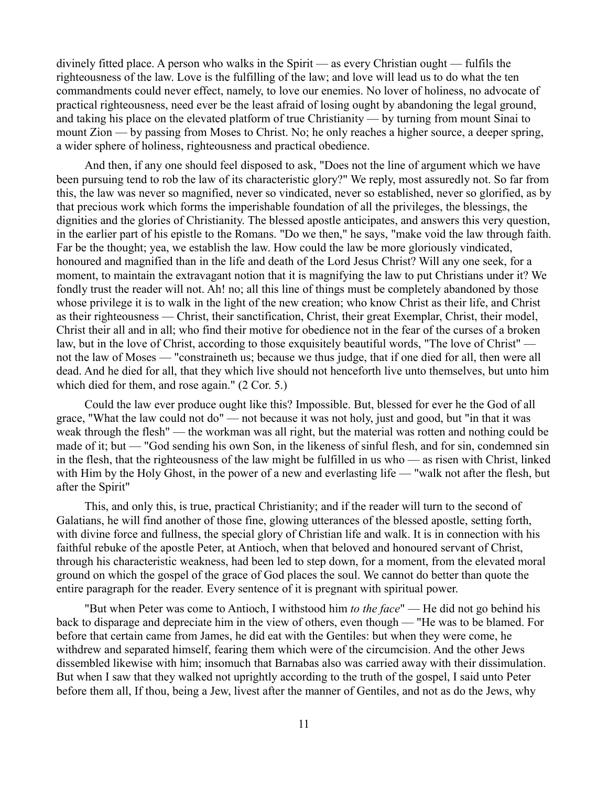divinely fitted place. A person who walks in the Spirit — as every Christian ought — fulfils the righteousness of the law. Love is the fulfilling of the law; and love will lead us to do what the ten commandments could never effect, namely, to love our enemies. No lover of holiness, no advocate of practical righteousness, need ever be the least afraid of losing ought by abandoning the legal ground, and taking his place on the elevated platform of true Christianity — by turning from mount Sinai to mount Zion — by passing from Moses to Christ. No; he only reaches a higher source, a deeper spring, a wider sphere of holiness, righteousness and practical obedience.

And then, if any one should feel disposed to ask, "Does not the line of argument which we have been pursuing tend to rob the law of its characteristic glory?" We reply, most assuredly not. So far from this, the law was never so magnified, never so vindicated, never so established, never so glorified, as by that precious work which forms the imperishable foundation of all the privileges, the blessings, the dignities and the glories of Christianity. The blessed apostle anticipates, and answers this very question, in the earlier part of his epistle to the Romans. "Do we then," he says, "make void the law through faith. Far be the thought; yea, we establish the law. How could the law be more gloriously vindicated, honoured and magnified than in the life and death of the Lord Jesus Christ? Will any one seek, for a moment, to maintain the extravagant notion that it is magnifying the law to put Christians under it? We fondly trust the reader will not. Ah! no; all this line of things must be completely abandoned by those whose privilege it is to walk in the light of the new creation; who know Christ as their life, and Christ as their righteousness — Christ, their sanctification, Christ, their great Exemplar, Christ, their model, Christ their all and in all; who find their motive for obedience not in the fear of the curses of a broken law, but in the love of Christ, according to those exquisitely beautiful words, "The love of Christ" not the law of Moses — "constraineth us; because we thus judge, that if one died for all, then were all dead. And he died for all, that they which live should not henceforth live unto themselves, but unto him which died for them, and rose again." (2 Cor. 5.)

Could the law ever produce ought like this? Impossible. But, blessed for ever he the God of all grace, "What the law could not do" — not because it was not holy, just and good, but "in that it was weak through the flesh" — the workman was all right, but the material was rotten and nothing could be made of it; but — "God sending his own Son, in the likeness of sinful flesh, and for sin, condemned sin in the flesh, that the righteousness of the law might be fulfilled in us who — as risen with Christ, linked with Him by the Holy Ghost, in the power of a new and everlasting life — "walk not after the flesh, but after the Spirit"

This, and only this, is true, practical Christianity; and if the reader will turn to the second of Galatians, he will find another of those fine, glowing utterances of the blessed apostle, setting forth, with divine force and fullness, the special glory of Christian life and walk. It is in connection with his faithful rebuke of the apostle Peter, at Antioch, when that beloved and honoured servant of Christ, through his characteristic weakness, had been led to step down, for a moment, from the elevated moral ground on which the gospel of the grace of God places the soul. We cannot do better than quote the entire paragraph for the reader. Every sentence of it is pregnant with spiritual power.

"But when Peter was come to Antioch, I withstood him *to the face*" — He did not go behind his back to disparage and depreciate him in the view of others, even though — "He was to be blamed. For before that certain came from James, he did eat with the Gentiles: but when they were come, he withdrew and separated himself, fearing them which were of the circumcision. And the other Jews dissembled likewise with him; insomuch that Barnabas also was carried away with their dissimulation. But when I saw that they walked not uprightly according to the truth of the gospel, I said unto Peter before them all, If thou, being a Jew, livest after the manner of Gentiles, and not as do the Jews, why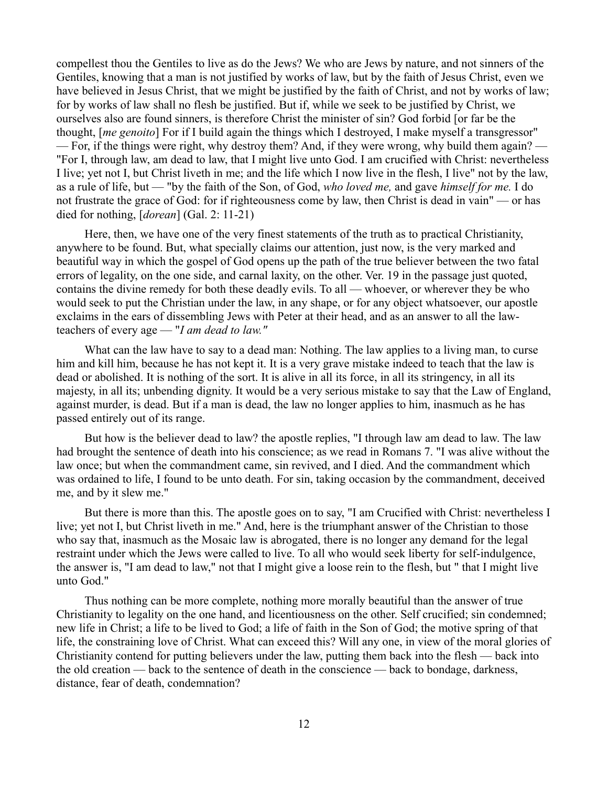compellest thou the Gentiles to live as do the Jews? We who are Jews by nature, and not sinners of the Gentiles, knowing that a man is not justified by works of law, but by the faith of Jesus Christ, even we have believed in Jesus Christ, that we might be justified by the faith of Christ, and not by works of law; for by works of law shall no flesh be justified. But if, while we seek to be justified by Christ, we ourselves also are found sinners, is therefore Christ the minister of sin? God forbid [or far be the thought, [*me genoito*] For if I build again the things which I destroyed, I make myself a transgressor" — For, if the things were right, why destroy them? And, if they were wrong, why build them again? — "For I, through law, am dead to law, that I might live unto God. I am crucified with Christ: nevertheless I live; yet not I, but Christ liveth in me; and the life which I now live in the flesh, I live" not by the law, as a rule of life, but — "by the faith of the Son, of God, *who loved me,* and gave *himself for me.* I do not frustrate the grace of God: for if righteousness come by law, then Christ is dead in vain" — or has died for nothing, [*dorean*] (Gal. 2: 11-21)

Here, then, we have one of the very finest statements of the truth as to practical Christianity, anywhere to be found. But, what specially claims our attention, just now, is the very marked and beautiful way in which the gospel of God opens up the path of the true believer between the two fatal errors of legality, on the one side, and carnal laxity, on the other. Ver. 19 in the passage just quoted, contains the divine remedy for both these deadly evils. To all — whoever, or wherever they be who would seek to put the Christian under the law, in any shape, or for any object whatsoever, our apostle exclaims in the ears of dissembling Jews with Peter at their head, and as an answer to all the lawteachers of every age — "*I am dead to law."*

What can the law have to say to a dead man: Nothing. The law applies to a living man, to curse him and kill him, because he has not kept it. It is a very grave mistake indeed to teach that the law is dead or abolished. It is nothing of the sort. It is alive in all its force, in all its stringency, in all its majesty, in all its; unbending dignity. It would be a very serious mistake to say that the Law of England, against murder, is dead. But if a man is dead, the law no longer applies to him, inasmuch as he has passed entirely out of its range.

But how is the believer dead to law? the apostle replies, "I through law am dead to law. The law had brought the sentence of death into his conscience; as we read in Romans 7. "I was alive without the law once; but when the commandment came, sin revived, and I died. And the commandment which was ordained to life, I found to be unto death. For sin, taking occasion by the commandment, deceived me, and by it slew me."

But there is more than this. The apostle goes on to say, "I am Crucified with Christ: nevertheless I live; yet not I, but Christ liveth in me." And, here is the triumphant answer of the Christian to those who say that, inasmuch as the Mosaic law is abrogated, there is no longer any demand for the legal restraint under which the Jews were called to live. To all who would seek liberty for self-indulgence, the answer is, "I am dead to law," not that I might give a loose rein to the flesh, but " that I might live unto God."

Thus nothing can be more complete, nothing more morally beautiful than the answer of true Christianity to legality on the one hand, and licentiousness on the other. Self crucified; sin condemned; new life in Christ; a life to be lived to God; a life of faith in the Son of God; the motive spring of that life, the constraining love of Christ. What can exceed this? Will any one, in view of the moral glories of Christianity contend for putting believers under the law, putting them back into the flesh — back into the old creation — back to the sentence of death in the conscience — back to bondage, darkness, distance, fear of death, condemnation?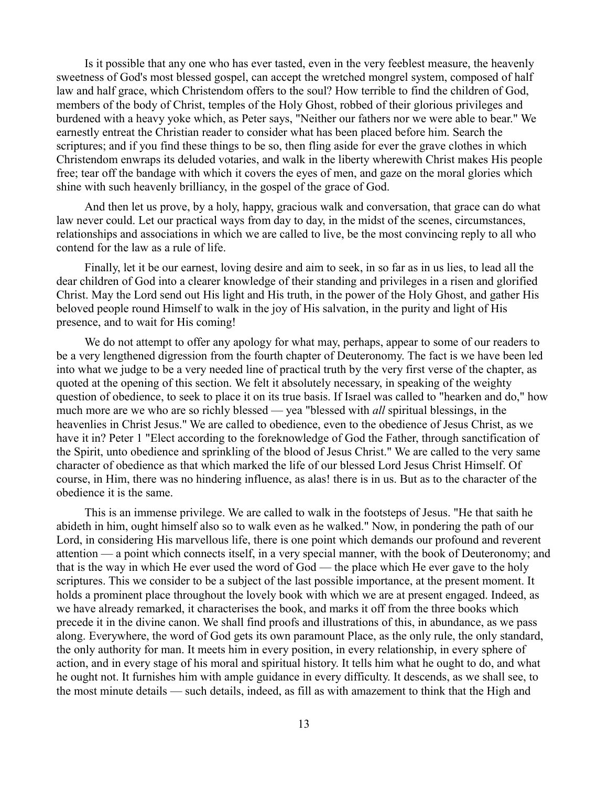Is it possible that any one who has ever tasted, even in the very feeblest measure, the heavenly sweetness of God's most blessed gospel, can accept the wretched mongrel system, composed of half law and half grace, which Christendom offers to the soul? How terrible to find the children of God, members of the body of Christ, temples of the Holy Ghost, robbed of their glorious privileges and burdened with a heavy yoke which, as Peter says, "Neither our fathers nor we were able to bear." We earnestly entreat the Christian reader to consider what has been placed before him. Search the scriptures; and if you find these things to be so, then fling aside for ever the grave clothes in which Christendom enwraps its deluded votaries, and walk in the liberty wherewith Christ makes His people free; tear off the bandage with which it covers the eyes of men, and gaze on the moral glories which shine with such heavenly brilliancy, in the gospel of the grace of God.

And then let us prove, by a holy, happy, gracious walk and conversation, that grace can do what law never could. Let our practical ways from day to day, in the midst of the scenes, circumstances, relationships and associations in which we are called to live, be the most convincing reply to all who contend for the law as a rule of life.

Finally, let it be our earnest, loving desire and aim to seek, in so far as in us lies, to lead all the dear children of God into a clearer knowledge of their standing and privileges in a risen and glorified Christ. May the Lord send out His light and His truth, in the power of the Holy Ghost, and gather His beloved people round Himself to walk in the joy of His salvation, in the purity and light of His presence, and to wait for His coming!

We do not attempt to offer any apology for what may, perhaps, appear to some of our readers to be a very lengthened digression from the fourth chapter of Deuteronomy. The fact is we have been led into what we judge to be a very needed line of practical truth by the very first verse of the chapter, as quoted at the opening of this section. We felt it absolutely necessary, in speaking of the weighty question of obedience, to seek to place it on its true basis. If Israel was called to "hearken and do," how much more are we who are so richly blessed — yea "blessed with *all* spiritual blessings, in the heavenlies in Christ Jesus." We are called to obedience, even to the obedience of Jesus Christ, as we have it in? Peter 1 "Elect according to the foreknowledge of God the Father, through sanctification of the Spirit, unto obedience and sprinkling of the blood of Jesus Christ." We are called to the very same character of obedience as that which marked the life of our blessed Lord Jesus Christ Himself. Of course, in Him, there was no hindering influence, as alas! there is in us. But as to the character of the obedience it is the same.

This is an immense privilege. We are called to walk in the footsteps of Jesus. "He that saith he abideth in him, ought himself also so to walk even as he walked." Now, in pondering the path of our Lord, in considering His marvellous life, there is one point which demands our profound and reverent attention — a point which connects itself, in a very special manner, with the book of Deuteronomy; and that is the way in which He ever used the word of God — the place which He ever gave to the holy scriptures. This we consider to be a subject of the last possible importance, at the present moment. It holds a prominent place throughout the lovely book with which we are at present engaged. Indeed, as we have already remarked, it characterises the book, and marks it off from the three books which precede it in the divine canon. We shall find proofs and illustrations of this, in abundance, as we pass along. Everywhere, the word of God gets its own paramount Place, as the only rule, the only standard, the only authority for man. It meets him in every position, in every relationship, in every sphere of action, and in every stage of his moral and spiritual history. It tells him what he ought to do, and what he ought not. It furnishes him with ample guidance in every difficulty. It descends, as we shall see, to the most minute details — such details, indeed, as fill as with amazement to think that the High and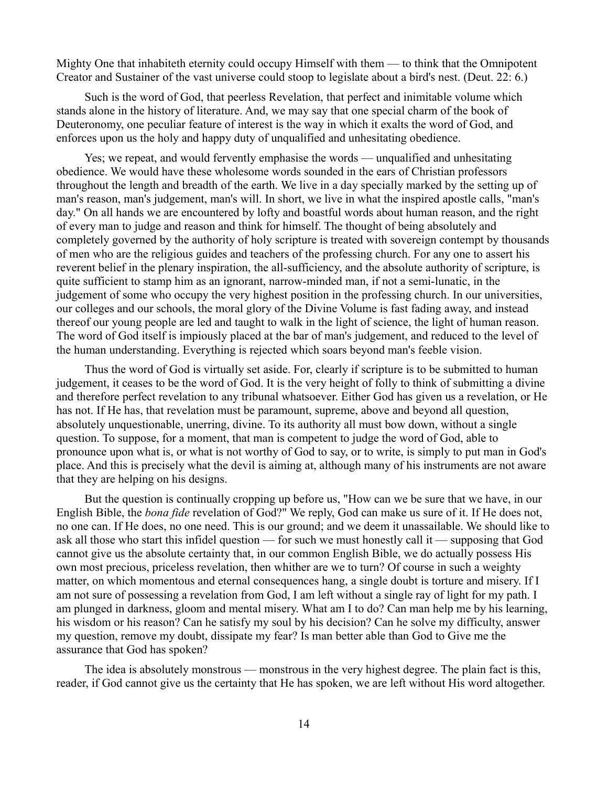Mighty One that inhabiteth eternity could occupy Himself with them — to think that the Omnipotent Creator and Sustainer of the vast universe could stoop to legislate about a bird's nest. (Deut. 22: 6.)

Such is the word of God, that peerless Revelation, that perfect and inimitable volume which stands alone in the history of literature. And, we may say that one special charm of the book of Deuteronomy, one peculiar feature of interest is the way in which it exalts the word of God, and enforces upon us the holy and happy duty of unqualified and unhesitating obedience.

Yes; we repeat, and would fervently emphasise the words — unqualified and unhesitating obedience. We would have these wholesome words sounded in the ears of Christian professors throughout the length and breadth of the earth. We live in a day specially marked by the setting up of man's reason, man's judgement, man's will. In short, we live in what the inspired apostle calls, "man's day." On all hands we are encountered by lofty and boastful words about human reason, and the right of every man to judge and reason and think for himself. The thought of being absolutely and completely governed by the authority of holy scripture is treated with sovereign contempt by thousands of men who are the religious guides and teachers of the professing church. For any one to assert his reverent belief in the plenary inspiration, the all-sufficiency, and the absolute authority of scripture, is quite sufficient to stamp him as an ignorant, narrow-minded man, if not a semi-lunatic, in the judgement of some who occupy the very highest position in the professing church. In our universities, our colleges and our schools, the moral glory of the Divine Volume is fast fading away, and instead thereof our young people are led and taught to walk in the light of science, the light of human reason. The word of God itself is impiously placed at the bar of man's judgement, and reduced to the level of the human understanding. Everything is rejected which soars beyond man's feeble vision.

Thus the word of God is virtually set aside. For, clearly if scripture is to be submitted to human judgement, it ceases to be the word of God. It is the very height of folly to think of submitting a divine and therefore perfect revelation to any tribunal whatsoever. Either God has given us a revelation, or He has not. If He has, that revelation must be paramount, supreme, above and beyond all question, absolutely unquestionable, unerring, divine. To its authority all must bow down, without a single question. To suppose, for a moment, that man is competent to judge the word of God, able to pronounce upon what is, or what is not worthy of God to say, or to write, is simply to put man in God's place. And this is precisely what the devil is aiming at, although many of his instruments are not aware that they are helping on his designs.

But the question is continually cropping up before us, "How can we be sure that we have, in our English Bible, the *bona fide* revelation of God?" We reply, God can make us sure of it. If He does not, no one can. If He does, no one need. This is our ground; and we deem it unassailable. We should like to ask all those who start this infidel question — for such we must honestly call it — supposing that God cannot give us the absolute certainty that, in our common English Bible, we do actually possess His own most precious, priceless revelation, then whither are we to turn? Of course in such a weighty matter, on which momentous and eternal consequences hang, a single doubt is torture and misery. If I am not sure of possessing a revelation from God, I am left without a single ray of light for my path. I am plunged in darkness, gloom and mental misery. What am I to do? Can man help me by his learning, his wisdom or his reason? Can he satisfy my soul by his decision? Can he solve my difficulty, answer my question, remove my doubt, dissipate my fear? Is man better able than God to Give me the assurance that God has spoken?

The idea is absolutely monstrous — monstrous in the very highest degree. The plain fact is this, reader, if God cannot give us the certainty that He has spoken, we are left without His word altogether.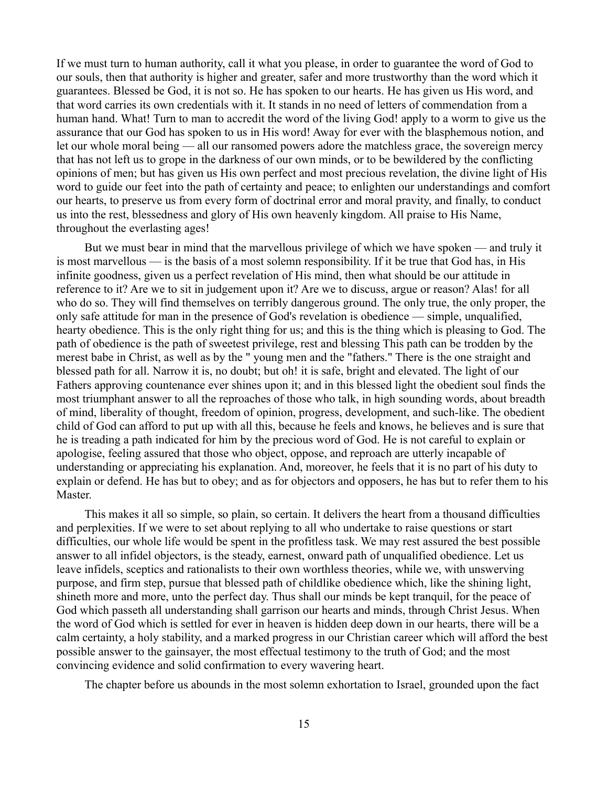If we must turn to human authority, call it what you please, in order to guarantee the word of God to our souls, then that authority is higher and greater, safer and more trustworthy than the word which it guarantees. Blessed be God, it is not so. He has spoken to our hearts. He has given us His word, and that word carries its own credentials with it. It stands in no need of letters of commendation from a human hand. What! Turn to man to accredit the word of the living God! apply to a worm to give us the assurance that our God has spoken to us in His word! Away for ever with the blasphemous notion, and let our whole moral being — all our ransomed powers adore the matchless grace, the sovereign mercy that has not left us to grope in the darkness of our own minds, or to be bewildered by the conflicting opinions of men; but has given us His own perfect and most precious revelation, the divine light of His word to guide our feet into the path of certainty and peace; to enlighten our understandings and comfort our hearts, to preserve us from every form of doctrinal error and moral pravity, and finally, to conduct us into the rest, blessedness and glory of His own heavenly kingdom. All praise to His Name, throughout the everlasting ages!

But we must bear in mind that the marvellous privilege of which we have spoken — and truly it is most marvellous — is the basis of a most solemn responsibility. If it be true that God has, in His infinite goodness, given us a perfect revelation of His mind, then what should be our attitude in reference to it? Are we to sit in judgement upon it? Are we to discuss, argue or reason? Alas! for all who do so. They will find themselves on terribly dangerous ground. The only true, the only proper, the only safe attitude for man in the presence of God's revelation is obedience — simple, unqualified, hearty obedience. This is the only right thing for us; and this is the thing which is pleasing to God. The path of obedience is the path of sweetest privilege, rest and blessing This path can be trodden by the merest babe in Christ, as well as by the " young men and the "fathers." There is the one straight and blessed path for all. Narrow it is, no doubt; but oh! it is safe, bright and elevated. The light of our Fathers approving countenance ever shines upon it; and in this blessed light the obedient soul finds the most triumphant answer to all the reproaches of those who talk, in high sounding words, about breadth of mind, liberality of thought, freedom of opinion, progress, development, and such-like. The obedient child of God can afford to put up with all this, because he feels and knows, he believes and is sure that he is treading a path indicated for him by the precious word of God. He is not careful to explain or apologise, feeling assured that those who object, oppose, and reproach are utterly incapable of understanding or appreciating his explanation. And, moreover, he feels that it is no part of his duty to explain or defend. He has but to obey; and as for objectors and opposers, he has but to refer them to his Master.

This makes it all so simple, so plain, so certain. It delivers the heart from a thousand difficulties and perplexities. If we were to set about replying to all who undertake to raise questions or start difficulties, our whole life would be spent in the profitless task. We may rest assured the best possible answer to all infidel objectors, is the steady, earnest, onward path of unqualified obedience. Let us leave infidels, sceptics and rationalists to their own worthless theories, while we, with unswerving purpose, and firm step, pursue that blessed path of childlike obedience which, like the shining light, shineth more and more, unto the perfect day. Thus shall our minds be kept tranquil, for the peace of God which passeth all understanding shall garrison our hearts and minds, through Christ Jesus. When the word of God which is settled for ever in heaven is hidden deep down in our hearts, there will be a calm certainty, a holy stability, and a marked progress in our Christian career which will afford the best possible answer to the gainsayer, the most effectual testimony to the truth of God; and the most convincing evidence and solid confirmation to every wavering heart.

The chapter before us abounds in the most solemn exhortation to Israel, grounded upon the fact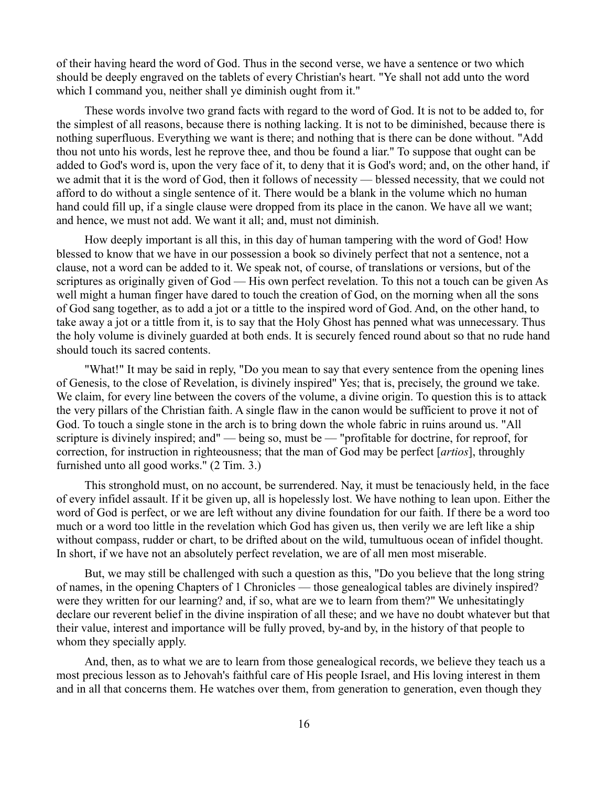of their having heard the word of God. Thus in the second verse, we have a sentence or two which should be deeply engraved on the tablets of every Christian's heart. "Ye shall not add unto the word which I command you, neither shall ye diminish ought from it."

These words involve two grand facts with regard to the word of God. It is not to be added to, for the simplest of all reasons, because there is nothing lacking. It is not to be diminished, because there is nothing superfluous. Everything we want is there; and nothing that is there can be done without. "Add thou not unto his words, lest he reprove thee, and thou be found a liar." To suppose that ought can be added to God's word is, upon the very face of it, to deny that it is God's word; and, on the other hand, if we admit that it is the word of God, then it follows of necessity — blessed necessity, that we could not afford to do without a single sentence of it. There would be a blank in the volume which no human hand could fill up, if a single clause were dropped from its place in the canon. We have all we want; and hence, we must not add. We want it all; and, must not diminish.

How deeply important is all this, in this day of human tampering with the word of God! How blessed to know that we have in our possession a book so divinely perfect that not a sentence, not a clause, not a word can be added to it. We speak not, of course, of translations or versions, but of the scriptures as originally given of God — His own perfect revelation. To this not a touch can be given As well might a human finger have dared to touch the creation of God, on the morning when all the sons of God sang together, as to add a jot or a tittle to the inspired word of God. And, on the other hand, to take away a jot or a tittle from it, is to say that the Holy Ghost has penned what was unnecessary. Thus the holy volume is divinely guarded at both ends. It is securely fenced round about so that no rude hand should touch its sacred contents.

"What!" It may be said in reply, "Do you mean to say that every sentence from the opening lines of Genesis, to the close of Revelation, is divinely inspired" Yes; that is, precisely, the ground we take. We claim, for every line between the covers of the volume, a divine origin. To question this is to attack the very pillars of the Christian faith. A single flaw in the canon would be sufficient to prove it not of God. To touch a single stone in the arch is to bring down the whole fabric in ruins around us. "All scripture is divinely inspired; and" — being so, must be — "profitable for doctrine, for reproof, for correction, for instruction in righteousness; that the man of God may be perfect [*artios*], throughly furnished unto all good works." (2 Tim. 3.)

This stronghold must, on no account, be surrendered. Nay, it must be tenaciously held, in the face of every infidel assault. If it be given up, all is hopelessly lost. We have nothing to lean upon. Either the word of God is perfect, or we are left without any divine foundation for our faith. If there be a word too much or a word too little in the revelation which God has given us, then verily we are left like a ship without compass, rudder or chart, to be drifted about on the wild, tumultuous ocean of infidel thought. In short, if we have not an absolutely perfect revelation, we are of all men most miserable.

But, we may still be challenged with such a question as this, "Do you believe that the long string of names, in the opening Chapters of 1 Chronicles — those genealogical tables are divinely inspired? were they written for our learning? and, if so, what are we to learn from them?" We unhesitatingly declare our reverent belief in the divine inspiration of all these; and we have no doubt whatever but that their value, interest and importance will be fully proved, by-and by, in the history of that people to whom they specially apply.

And, then, as to what we are to learn from those genealogical records, we believe they teach us a most precious lesson as to Jehovah's faithful care of His people Israel, and His loving interest in them and in all that concerns them. He watches over them, from generation to generation, even though they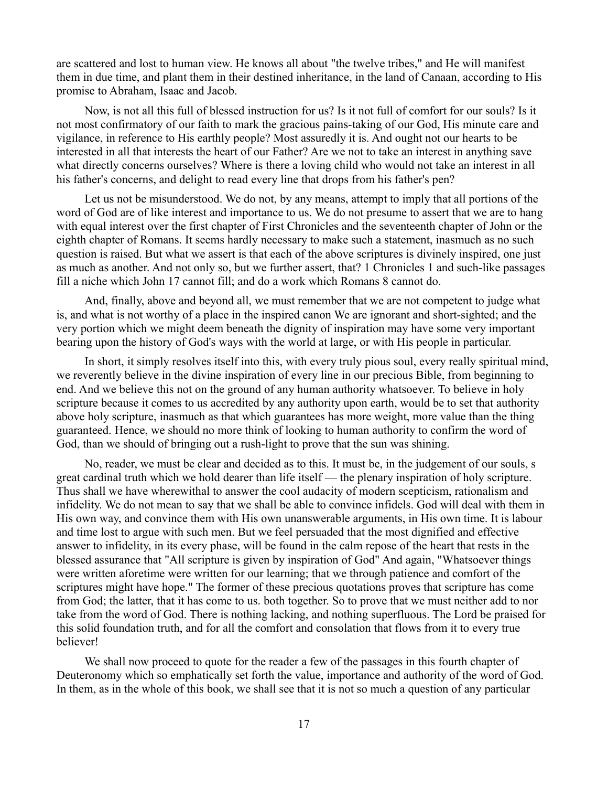are scattered and lost to human view. He knows all about "the twelve tribes," and He will manifest them in due time, and plant them in their destined inheritance, in the land of Canaan, according to His promise to Abraham, Isaac and Jacob.

Now, is not all this full of blessed instruction for us? Is it not full of comfort for our souls? Is it not most confirmatory of our faith to mark the gracious pains-taking of our God, His minute care and vigilance, in reference to His earthly people? Most assuredly it is. And ought not our hearts to be interested in all that interests the heart of our Father? Are we not to take an interest in anything save what directly concerns ourselves? Where is there a loving child who would not take an interest in all his father's concerns, and delight to read every line that drops from his father's pen?

Let us not be misunderstood. We do not, by any means, attempt to imply that all portions of the word of God are of like interest and importance to us. We do not presume to assert that we are to hang with equal interest over the first chapter of First Chronicles and the seventeenth chapter of John or the eighth chapter of Romans. It seems hardly necessary to make such a statement, inasmuch as no such question is raised. But what we assert is that each of the above scriptures is divinely inspired, one just as much as another. And not only so, but we further assert, that? 1 Chronicles 1 and such-like passages fill a niche which John 17 cannot fill; and do a work which Romans 8 cannot do.

And, finally, above and beyond all, we must remember that we are not competent to judge what is, and what is not worthy of a place in the inspired canon We are ignorant and short-sighted; and the very portion which we might deem beneath the dignity of inspiration may have some very important bearing upon the history of God's ways with the world at large, or with His people in particular.

In short, it simply resolves itself into this, with every truly pious soul, every really spiritual mind, we reverently believe in the divine inspiration of every line in our precious Bible, from beginning to end. And we believe this not on the ground of any human authority whatsoever. To believe in holy scripture because it comes to us accredited by any authority upon earth, would be to set that authority above holy scripture, inasmuch as that which guarantees has more weight, more value than the thing guaranteed. Hence, we should no more think of looking to human authority to confirm the word of God, than we should of bringing out a rush-light to prove that the sun was shining.

No, reader, we must be clear and decided as to this. It must be, in the judgement of our souls, s great cardinal truth which we hold dearer than life itself — the plenary inspiration of holy scripture. Thus shall we have wherewithal to answer the cool audacity of modern scepticism, rationalism and infidelity. We do not mean to say that we shall be able to convince infidels. God will deal with them in His own way, and convince them with His own unanswerable arguments, in His own time. It is labour and time lost to argue with such men. But we feel persuaded that the most dignified and effective answer to infidelity, in its every phase, will be found in the calm repose of the heart that rests in the blessed assurance that "All scripture is given by inspiration of God" And again, "Whatsoever things were written aforetime were written for our learning; that we through patience and comfort of the scriptures might have hope." The former of these precious quotations proves that scripture has come from God; the latter, that it has come to us. both together. So to prove that we must neither add to nor take from the word of God. There is nothing lacking, and nothing superfluous. The Lord be praised for this solid foundation truth, and for all the comfort and consolation that flows from it to every true believer!

We shall now proceed to quote for the reader a few of the passages in this fourth chapter of Deuteronomy which so emphatically set forth the value, importance and authority of the word of God. In them, as in the whole of this book, we shall see that it is not so much a question of any particular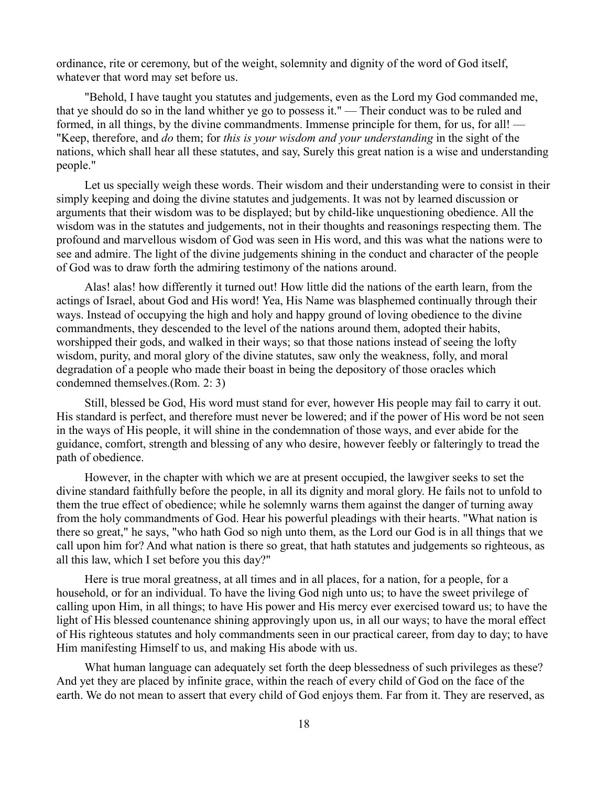ordinance, rite or ceremony, but of the weight, solemnity and dignity of the word of God itself, whatever that word may set before us.

"Behold, I have taught you statutes and judgements, even as the Lord my God commanded me, that ye should do so in the land whither ye go to possess it." — Their conduct was to be ruled and formed, in all things, by the divine commandments. Immense principle for them, for us, for all! — "Keep, therefore, and *do* them; for *this is your wisdom and your understanding* in the sight of the nations, which shall hear all these statutes, and say, Surely this great nation is a wise and understanding people."

Let us specially weigh these words. Their wisdom and their understanding were to consist in their simply keeping and doing the divine statutes and judgements. It was not by learned discussion or arguments that their wisdom was to be displayed; but by child-like unquestioning obedience. All the wisdom was in the statutes and judgements, not in their thoughts and reasonings respecting them. The profound and marvellous wisdom of God was seen in His word, and this was what the nations were to see and admire. The light of the divine judgements shining in the conduct and character of the people of God was to draw forth the admiring testimony of the nations around.

Alas! alas! how differently it turned out! How little did the nations of the earth learn, from the actings of Israel, about God and His word! Yea, His Name was blasphemed continually through their ways. Instead of occupying the high and holy and happy ground of loving obedience to the divine commandments, they descended to the level of the nations around them, adopted their habits, worshipped their gods, and walked in their ways; so that those nations instead of seeing the lofty wisdom, purity, and moral glory of the divine statutes, saw only the weakness, folly, and moral degradation of a people who made their boast in being the depository of those oracles which condemned themselves.(Rom. 2: 3)

Still, blessed be God, His word must stand for ever, however His people may fail to carry it out. His standard is perfect, and therefore must never be lowered; and if the power of His word be not seen in the ways of His people, it will shine in the condemnation of those ways, and ever abide for the guidance, comfort, strength and blessing of any who desire, however feebly or falteringly to tread the path of obedience.

However, in the chapter with which we are at present occupied, the lawgiver seeks to set the divine standard faithfully before the people, in all its dignity and moral glory. He fails not to unfold to them the true effect of obedience; while he solemnly warns them against the danger of turning away from the holy commandments of God. Hear his powerful pleadings with their hearts. "What nation is there so great," he says, "who hath God so nigh unto them, as the Lord our God is in all things that we call upon him for? And what nation is there so great, that hath statutes and judgements so righteous, as all this law, which I set before you this day?"

Here is true moral greatness, at all times and in all places, for a nation, for a people, for a household, or for an individual. To have the living God nigh unto us; to have the sweet privilege of calling upon Him, in all things; to have His power and His mercy ever exercised toward us; to have the light of His blessed countenance shining approvingly upon us, in all our ways; to have the moral effect of His righteous statutes and holy commandments seen in our practical career, from day to day; to have Him manifesting Himself to us, and making His abode with us.

What human language can adequately set forth the deep blessedness of such privileges as these? And yet they are placed by infinite grace, within the reach of every child of God on the face of the earth. We do not mean to assert that every child of God enjoys them. Far from it. They are reserved, as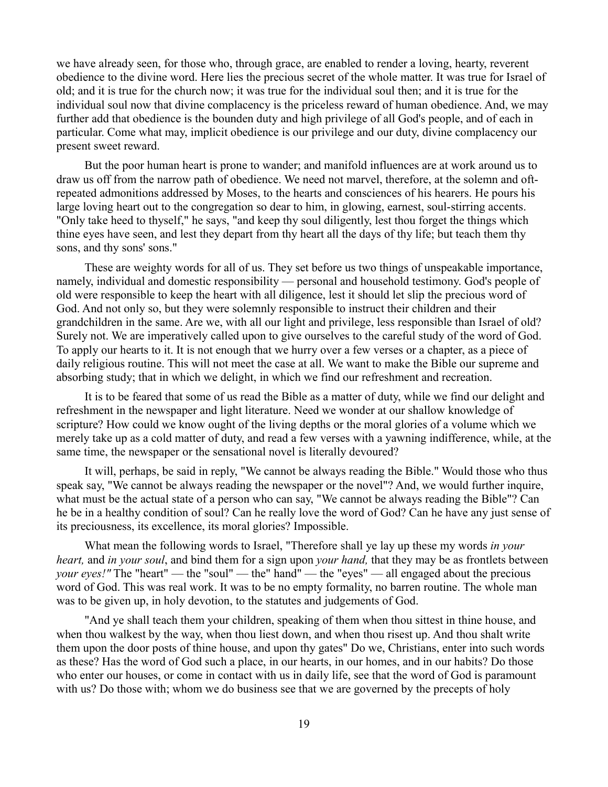we have already seen, for those who, through grace, are enabled to render a loving, hearty, reverent obedience to the divine word. Here lies the precious secret of the whole matter. It was true for Israel of old; and it is true for the church now; it was true for the individual soul then; and it is true for the individual soul now that divine complacency is the priceless reward of human obedience. And, we may further add that obedience is the bounden duty and high privilege of all God's people, and of each in particular. Come what may, implicit obedience is our privilege and our duty, divine complacency our present sweet reward.

But the poor human heart is prone to wander; and manifold influences are at work around us to draw us off from the narrow path of obedience. We need not marvel, therefore, at the solemn and oftrepeated admonitions addressed by Moses, to the hearts and consciences of his hearers. He pours his large loving heart out to the congregation so dear to him, in glowing, earnest, soul-stirring accents. "Only take heed to thyself," he says, "and keep thy soul diligently, lest thou forget the things which thine eyes have seen, and lest they depart from thy heart all the days of thy life; but teach them thy sons, and thy sons' sons."

These are weighty words for all of us. They set before us two things of unspeakable importance, namely, individual and domestic responsibility — personal and household testimony. God's people of old were responsible to keep the heart with all diligence, lest it should let slip the precious word of God. And not only so, but they were solemnly responsible to instruct their children and their grandchildren in the same. Are we, with all our light and privilege, less responsible than Israel of old? Surely not. We are imperatively called upon to give ourselves to the careful study of the word of God. To apply our hearts to it. It is not enough that we hurry over a few verses or a chapter, as a piece of daily religious routine. This will not meet the case at all. We want to make the Bible our supreme and absorbing study; that in which we delight, in which we find our refreshment and recreation.

It is to be feared that some of us read the Bible as a matter of duty, while we find our delight and refreshment in the newspaper and light literature. Need we wonder at our shallow knowledge of scripture? How could we know ought of the living depths or the moral glories of a volume which we merely take up as a cold matter of duty, and read a few verses with a yawning indifference, while, at the same time, the newspaper or the sensational novel is literally devoured?

It will, perhaps, be said in reply, "We cannot be always reading the Bible." Would those who thus speak say, "We cannot be always reading the newspaper or the novel"? And, we would further inquire, what must be the actual state of a person who can say, "We cannot be always reading the Bible"? Can he be in a healthy condition of soul? Can he really love the word of God? Can he have any just sense of its preciousness, its excellence, its moral glories? Impossible.

What mean the following words to Israel, "Therefore shall ye lay up these my words *in your heart,* and *in your soul*, and bind them for a sign upon *your hand,* that they may be as frontlets between *your eyes!*" The "heart" — the "soul" — the "hand" — the "eyes" — all engaged about the precious word of God. This was real work. It was to be no empty formality, no barren routine. The whole man was to be given up, in holy devotion, to the statutes and judgements of God.

"And ye shall teach them your children, speaking of them when thou sittest in thine house, and when thou walkest by the way, when thou liest down, and when thou risest up. And thou shalt write them upon the door posts of thine house, and upon thy gates" Do we, Christians, enter into such words as these? Has the word of God such a place, in our hearts, in our homes, and in our habits? Do those who enter our houses, or come in contact with us in daily life, see that the word of God is paramount with us? Do those with; whom we do business see that we are governed by the precepts of holy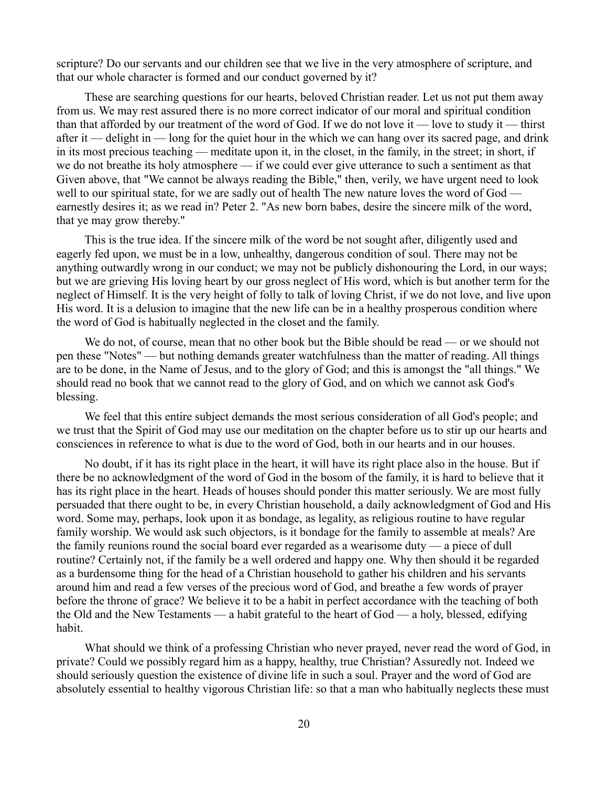scripture? Do our servants and our children see that we live in the very atmosphere of scripture, and that our whole character is formed and our conduct governed by it?

These are searching questions for our hearts, beloved Christian reader. Let us not put them away from us. We may rest assured there is no more correct indicator of our moral and spiritual condition than that afforded by our treatment of the word of God. If we do not love it — love to study it — thirst after it — delight in — long for the quiet hour in the which we can hang over its sacred page, and drink in its most precious teaching — meditate upon it, in the closet, in the family, in the street; in short, if we do not breathe its holy atmosphere — if we could ever give utterance to such a sentiment as that Given above, that "We cannot be always reading the Bible," then, verily, we have urgent need to look well to our spiritual state, for we are sadly out of health The new nature loves the word of God earnestly desires it; as we read in? Peter 2. "As new born babes, desire the sincere milk of the word, that ye may grow thereby."

This is the true idea. If the sincere milk of the word be not sought after, diligently used and eagerly fed upon, we must be in a low, unhealthy, dangerous condition of soul. There may not be anything outwardly wrong in our conduct; we may not be publicly dishonouring the Lord, in our ways; but we are grieving His loving heart by our gross neglect of His word, which is but another term for the neglect of Himself. It is the very height of folly to talk of loving Christ, if we do not love, and live upon His word. It is a delusion to imagine that the new life can be in a healthy prosperous condition where the word of God is habitually neglected in the closet and the family.

We do not, of course, mean that no other book but the Bible should be read — or we should not pen these "Notes" — but nothing demands greater watchfulness than the matter of reading. All things are to be done, in the Name of Jesus, and to the glory of God; and this is amongst the "all things." We should read no book that we cannot read to the glory of God, and on which we cannot ask God's blessing.

We feel that this entire subject demands the most serious consideration of all God's people; and we trust that the Spirit of God may use our meditation on the chapter before us to stir up our hearts and consciences in reference to what is due to the word of God, both in our hearts and in our houses.

No doubt, if it has its right place in the heart, it will have its right place also in the house. But if there be no acknowledgment of the word of God in the bosom of the family, it is hard to believe that it has its right place in the heart. Heads of houses should ponder this matter seriously. We are most fully persuaded that there ought to be, in every Christian household, a daily acknowledgment of God and His word. Some may, perhaps, look upon it as bondage, as legality, as religious routine to have regular family worship. We would ask such objectors, is it bondage for the family to assemble at meals? Are the family reunions round the social board ever regarded as a wearisome duty — a piece of dull routine? Certainly not, if the family be a well ordered and happy one. Why then should it be regarded as a burdensome thing for the head of a Christian household to gather his children and his servants around him and read a few verses of the precious word of God, and breathe a few words of prayer before the throne of grace? We believe it to be a habit in perfect accordance with the teaching of both the Old and the New Testaments — a habit grateful to the heart of God — a holy, blessed, edifying habit.

What should we think of a professing Christian who never prayed, never read the word of God, in private? Could we possibly regard him as a happy, healthy, true Christian? Assuredly not. Indeed we should seriously question the existence of divine life in such a soul. Prayer and the word of God are absolutely essential to healthy vigorous Christian life: so that a man who habitually neglects these must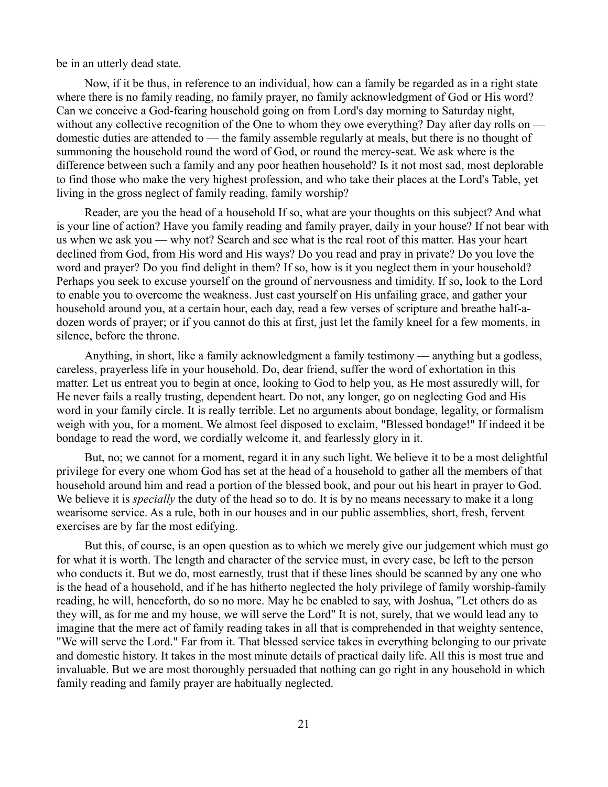be in an utterly dead state.

Now, if it be thus, in reference to an individual, how can a family be regarded as in a right state where there is no family reading, no family prayer, no family acknowledgment of God or His word? Can we conceive a God-fearing household going on from Lord's day morning to Saturday night, without any collective recognition of the One to whom they owe everything? Day after day rolls on domestic duties are attended to — the family assemble regularly at meals, but there is no thought of summoning the household round the word of God, or round the mercy-seat. We ask where is the difference between such a family and any poor heathen household? Is it not most sad, most deplorable to find those who make the very highest profession, and who take their places at the Lord's Table, yet living in the gross neglect of family reading, family worship?

Reader, are you the head of a household If so, what are your thoughts on this subject? And what is your line of action? Have you family reading and family prayer, daily in your house? If not bear with us when we ask you — why not? Search and see what is the real root of this matter. Has your heart declined from God, from His word and His ways? Do you read and pray in private? Do you love the word and prayer? Do you find delight in them? If so, how is it you neglect them in your household? Perhaps you seek to excuse yourself on the ground of nervousness and timidity. If so, look to the Lord to enable you to overcome the weakness. Just cast yourself on His unfailing grace, and gather your household around you, at a certain hour, each day, read a few verses of scripture and breathe half-adozen words of prayer; or if you cannot do this at first, just let the family kneel for a few moments, in silence, before the throne.

Anything, in short, like a family acknowledgment a family testimony — anything but a godless, careless, prayerless life in your household. Do, dear friend, suffer the word of exhortation in this matter. Let us entreat you to begin at once, looking to God to help you, as He most assuredly will, for He never fails a really trusting, dependent heart. Do not, any longer, go on neglecting God and His word in your family circle. It is really terrible. Let no arguments about bondage, legality, or formalism weigh with you, for a moment. We almost feel disposed to exclaim, "Blessed bondage!" If indeed it be bondage to read the word, we cordially welcome it, and fearlessly glory in it.

But, no; we cannot for a moment, regard it in any such light. We believe it to be a most delightful privilege for every one whom God has set at the head of a household to gather all the members of that household around him and read a portion of the blessed book, and pour out his heart in prayer to God. We believe it is *specially* the duty of the head so to do. It is by no means necessary to make it a long wearisome service. As a rule, both in our houses and in our public assemblies, short, fresh, fervent exercises are by far the most edifying.

But this, of course, is an open question as to which we merely give our judgement which must go for what it is worth. The length and character of the service must, in every case, be left to the person who conducts it. But we do, most earnestly, trust that if these lines should be scanned by any one who is the head of a household, and if he has hitherto neglected the holy privilege of family worship-family reading, he will, henceforth, do so no more. May he be enabled to say, with Joshua, "Let others do as they will, as for me and my house, we will serve the Lord" It is not, surely, that we would lead any to imagine that the mere act of family reading takes in all that is comprehended in that weighty sentence, "We will serve the Lord." Far from it. That blessed service takes in everything belonging to our private and domestic history. It takes in the most minute details of practical daily life. All this is most true and invaluable. But we are most thoroughly persuaded that nothing can go right in any household in which family reading and family prayer are habitually neglected.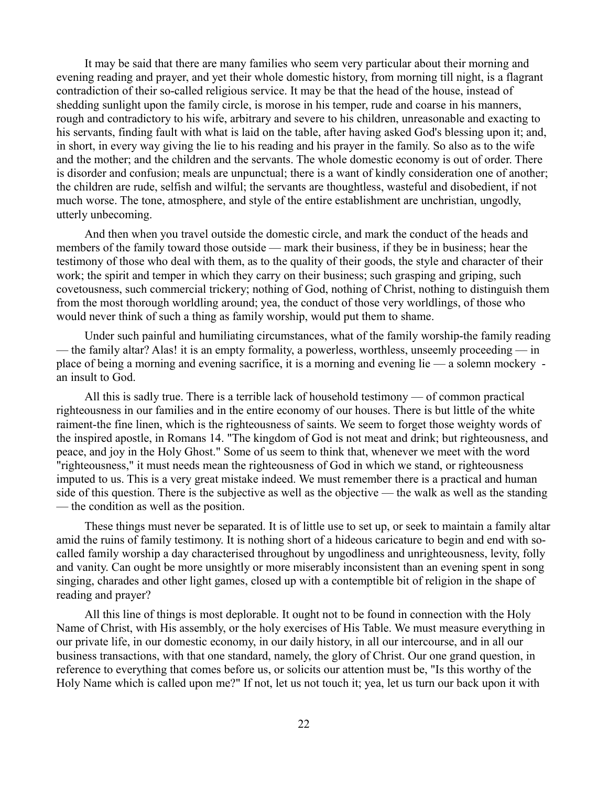It may be said that there are many families who seem very particular about their morning and evening reading and prayer, and yet their whole domestic history, from morning till night, is a flagrant contradiction of their so-called religious service. It may be that the head of the house, instead of shedding sunlight upon the family circle, is morose in his temper, rude and coarse in his manners, rough and contradictory to his wife, arbitrary and severe to his children, unreasonable and exacting to his servants, finding fault with what is laid on the table, after having asked God's blessing upon it; and, in short, in every way giving the lie to his reading and his prayer in the family. So also as to the wife and the mother; and the children and the servants. The whole domestic economy is out of order. There is disorder and confusion; meals are unpunctual; there is a want of kindly consideration one of another; the children are rude, selfish and wilful; the servants are thoughtless, wasteful and disobedient, if not much worse. The tone, atmosphere, and style of the entire establishment are unchristian, ungodly, utterly unbecoming.

And then when you travel outside the domestic circle, and mark the conduct of the heads and members of the family toward those outside — mark their business, if they be in business; hear the testimony of those who deal with them, as to the quality of their goods, the style and character of their work; the spirit and temper in which they carry on their business; such grasping and griping, such covetousness, such commercial trickery; nothing of God, nothing of Christ, nothing to distinguish them from the most thorough worldling around; yea, the conduct of those very worldlings, of those who would never think of such a thing as family worship, would put them to shame.

Under such painful and humiliating circumstances, what of the family worship-the family reading — the family altar? Alas! it is an empty formality, a powerless, worthless, unseemly proceeding — in place of being a morning and evening sacrifice, it is a morning and evening lie — a solemn mockery an insult to God.

All this is sadly true. There is a terrible lack of household testimony — of common practical righteousness in our families and in the entire economy of our houses. There is but little of the white raiment-the fine linen, which is the righteousness of saints. We seem to forget those weighty words of the inspired apostle, in Romans 14. "The kingdom of God is not meat and drink; but righteousness, and peace, and joy in the Holy Ghost." Some of us seem to think that, whenever we meet with the word "righteousness," it must needs mean the righteousness of God in which we stand, or righteousness imputed to us. This is a very great mistake indeed. We must remember there is a practical and human side of this question. There is the subjective as well as the objective — the walk as well as the standing — the condition as well as the position.

These things must never be separated. It is of little use to set up, or seek to maintain a family altar amid the ruins of family testimony. It is nothing short of a hideous caricature to begin and end with socalled family worship a day characterised throughout by ungodliness and unrighteousness, levity, folly and vanity. Can ought be more unsightly or more miserably inconsistent than an evening spent in song singing, charades and other light games, closed up with a contemptible bit of religion in the shape of reading and prayer?

All this line of things is most deplorable. It ought not to be found in connection with the Holy Name of Christ, with His assembly, or the holy exercises of His Table. We must measure everything in our private life, in our domestic economy, in our daily history, in all our intercourse, and in all our business transactions, with that one standard, namely, the glory of Christ. Our one grand question, in reference to everything that comes before us, or solicits our attention must be, "Is this worthy of the Holy Name which is called upon me?" If not, let us not touch it; yea, let us turn our back upon it with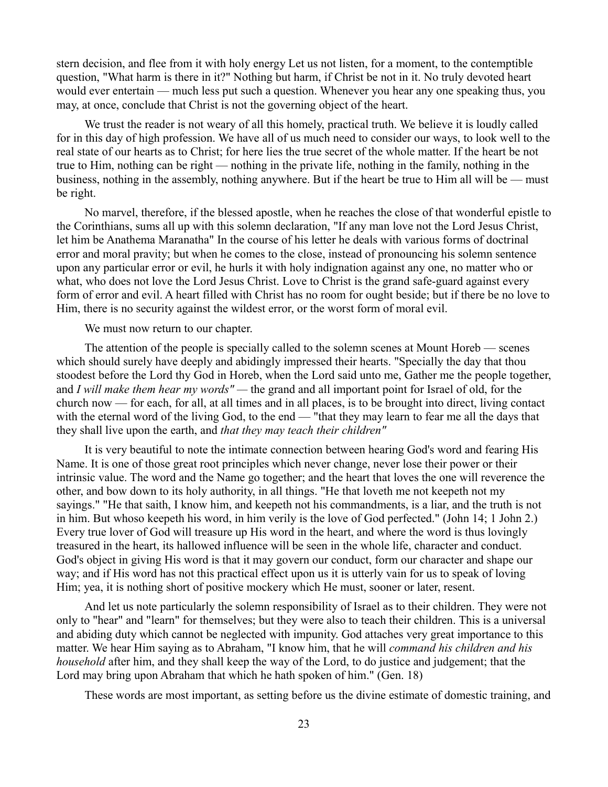stern decision, and flee from it with holy energy Let us not listen, for a moment, to the contemptible question, "What harm is there in it?" Nothing but harm, if Christ be not in it. No truly devoted heart would ever entertain — much less put such a question. Whenever you hear any one speaking thus, you may, at once, conclude that Christ is not the governing object of the heart.

We trust the reader is not weary of all this homely, practical truth. We believe it is loudly called for in this day of high profession. We have all of us much need to consider our ways, to look well to the real state of our hearts as to Christ; for here lies the true secret of the whole matter. If the heart be not true to Him, nothing can be right — nothing in the private life, nothing in the family, nothing in the business, nothing in the assembly, nothing anywhere. But if the heart be true to Him all will be — must be right.

No marvel, therefore, if the blessed apostle, when he reaches the close of that wonderful epistle to the Corinthians, sums all up with this solemn declaration, "If any man love not the Lord Jesus Christ, let him be Anathema Maranatha" In the course of his letter he deals with various forms of doctrinal error and moral pravity; but when he comes to the close, instead of pronouncing his solemn sentence upon any particular error or evil, he hurls it with holy indignation against any one, no matter who or what, who does not love the Lord Jesus Christ. Love to Christ is the grand safe-guard against every form of error and evil. A heart filled with Christ has no room for ought beside; but if there be no love to Him, there is no security against the wildest error, or the worst form of moral evil.

We must now return to our chapter.

The attention of the people is specially called to the solemn scenes at Mount Horeb — scenes which should surely have deeply and abidingly impressed their hearts. "Specially the day that thou stoodest before the Lord thy God in Horeb, when the Lord said unto me, Gather me the people together, and *I will make them hear my words" —* the grand and all important point for Israel of old, for the church now — for each, for all, at all times and in all places, is to be brought into direct, living contact with the eternal word of the living God, to the end — "that they may learn to fear me all the days that they shall live upon the earth, and *that they may teach their children"*

It is very beautiful to note the intimate connection between hearing God's word and fearing His Name. It is one of those great root principles which never change, never lose their power or their intrinsic value. The word and the Name go together; and the heart that loves the one will reverence the other, and bow down to its holy authority, in all things. "He that loveth me not keepeth not my sayings." "He that saith, I know him, and keepeth not his commandments, is a liar, and the truth is not in him. But whoso keepeth his word, in him verily is the love of God perfected." (John 14; 1 John 2.) Every true lover of God will treasure up His word in the heart, and where the word is thus lovingly treasured in the heart, its hallowed influence will be seen in the whole life, character and conduct. God's object in giving His word is that it may govern our conduct, form our character and shape our way; and if His word has not this practical effect upon us it is utterly vain for us to speak of loving Him; yea, it is nothing short of positive mockery which He must, sooner or later, resent.

And let us note particularly the solemn responsibility of Israel as to their children. They were not only to "hear" and "learn" for themselves; but they were also to teach their children. This is a universal and abiding duty which cannot be neglected with impunity. God attaches very great importance to this matter. We hear Him saying as to Abraham, "I know him, that he will *command his children and his household* after him, and they shall keep the way of the Lord, to do justice and judgement; that the Lord may bring upon Abraham that which he hath spoken of him." (Gen. 18)

These words are most important, as setting before us the divine estimate of domestic training, and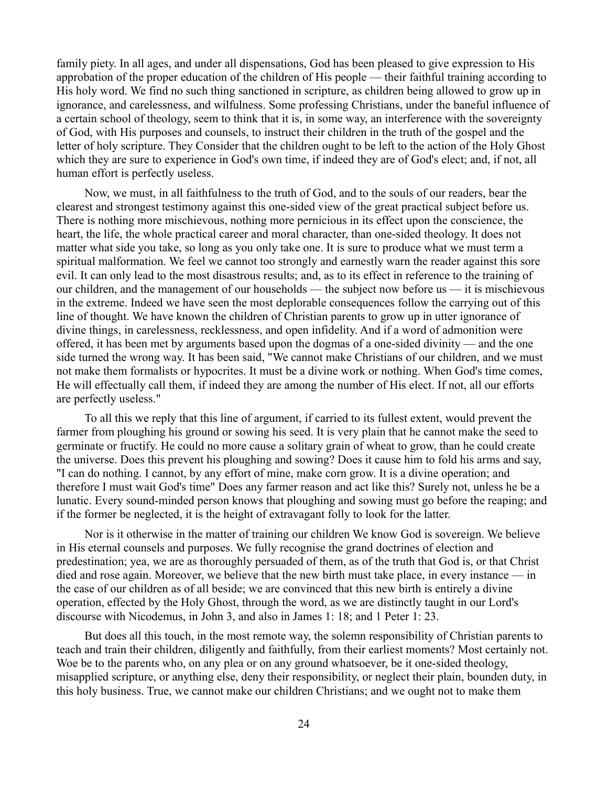family piety. In all ages, and under all dispensations, God has been pleased to give expression to His approbation of the proper education of the children of His people — their faithful training according to His holy word. We find no such thing sanctioned in scripture, as children being allowed to grow up in ignorance, and carelessness, and wilfulness. Some professing Christians, under the baneful influence of a certain school of theology, seem to think that it is, in some way, an interference with the sovereignty of God, with His purposes and counsels, to instruct their children in the truth of the gospel and the letter of holy scripture. They Consider that the children ought to be left to the action of the Holy Ghost which they are sure to experience in God's own time, if indeed they are of God's elect; and, if not, all human effort is perfectly useless.

Now, we must, in all faithfulness to the truth of God, and to the souls of our readers, bear the clearest and strongest testimony against this one-sided view of the great practical subject before us. There is nothing more mischievous, nothing more pernicious in its effect upon the conscience, the heart, the life, the whole practical career and moral character, than one-sided theology. It does not matter what side you take, so long as you only take one. It is sure to produce what we must term a spiritual malformation. We feel we cannot too strongly and earnestly warn the reader against this sore evil. It can only lead to the most disastrous results; and, as to its effect in reference to the training of our children, and the management of our households — the subject now before us — it is mischievous in the extreme. Indeed we have seen the most deplorable consequences follow the carrying out of this line of thought. We have known the children of Christian parents to grow up in utter ignorance of divine things, in carelessness, recklessness, and open infidelity. And if a word of admonition were offered, it has been met by arguments based upon the dogmas of a one-sided divinity — and the one side turned the wrong way. It has been said, "We cannot make Christians of our children, and we must not make them formalists or hypocrites. It must be a divine work or nothing. When God's time comes, He will effectually call them, if indeed they are among the number of His elect. If not, all our efforts are perfectly useless."

To all this we reply that this line of argument, if carried to its fullest extent, would prevent the farmer from ploughing his ground or sowing his seed. It is very plain that he cannot make the seed to germinate or fructify. He could no more cause a solitary grain of wheat to grow, than he could create the universe. Does this prevent his ploughing and sowing? Does it cause him to fold his arms and say, "I can do nothing. I cannot, by any effort of mine, make corn grow. It is a divine operation; and therefore I must wait God's time" Does any farmer reason and act like this? Surely not, unless he be a lunatic. Every sound-minded person knows that ploughing and sowing must go before the reaping; and if the former be neglected, it is the height of extravagant folly to look for the latter.

Nor is it otherwise in the matter of training our children We know God is sovereign. We believe in His eternal counsels and purposes. We fully recognise the grand doctrines of election and predestination; yea, we are as thoroughly persuaded of them, as of the truth that God is, or that Christ died and rose again. Moreover, we believe that the new birth must take place, in every instance — in the case of our children as of all beside; we are convinced that this new birth is entirely a divine operation, effected by the Holy Ghost, through the word, as we are distinctly taught in our Lord's discourse with Nicodemus, in John 3, and also in James 1: 18; and 1 Peter 1: 23.

But does all this touch, in the most remote way, the solemn responsibility of Christian parents to teach and train their children, diligently and faithfully, from their earliest moments? Most certainly not. Woe be to the parents who, on any plea or on any ground whatsoever, be it one-sided theology, misapplied scripture, or anything else, deny their responsibility, or neglect their plain, bounden duty, in this holy business. True, we cannot make our children Christians; and we ought not to make them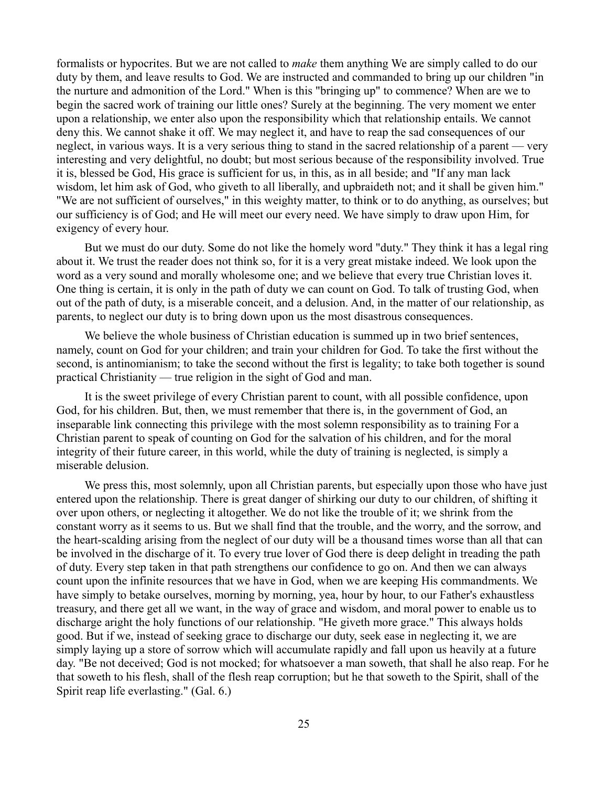formalists or hypocrites. But we are not called to *make* them anything We are simply called to do our duty by them, and leave results to God. We are instructed and commanded to bring up our children "in the nurture and admonition of the Lord." When is this "bringing up" to commence? When are we to begin the sacred work of training our little ones? Surely at the beginning. The very moment we enter upon a relationship, we enter also upon the responsibility which that relationship entails. We cannot deny this. We cannot shake it off. We may neglect it, and have to reap the sad consequences of our neglect, in various ways. It is a very serious thing to stand in the sacred relationship of a parent — very interesting and very delightful, no doubt; but most serious because of the responsibility involved. True it is, blessed be God, His grace is sufficient for us, in this, as in all beside; and "If any man lack wisdom, let him ask of God, who giveth to all liberally, and upbraideth not; and it shall be given him." "We are not sufficient of ourselves," in this weighty matter, to think or to do anything, as ourselves; but our sufficiency is of God; and He will meet our every need. We have simply to draw upon Him, for exigency of every hour.

But we must do our duty. Some do not like the homely word "duty." They think it has a legal ring about it. We trust the reader does not think so, for it is a very great mistake indeed. We look upon the word as a very sound and morally wholesome one; and we believe that every true Christian loves it. One thing is certain, it is only in the path of duty we can count on God. To talk of trusting God, when out of the path of duty, is a miserable conceit, and a delusion. And, in the matter of our relationship, as parents, to neglect our duty is to bring down upon us the most disastrous consequences.

We believe the whole business of Christian education is summed up in two brief sentences, namely, count on God for your children; and train your children for God. To take the first without the second, is antinomianism; to take the second without the first is legality; to take both together is sound practical Christianity — true religion in the sight of God and man.

It is the sweet privilege of every Christian parent to count, with all possible confidence, upon God, for his children. But, then, we must remember that there is, in the government of God, an inseparable link connecting this privilege with the most solemn responsibility as to training For a Christian parent to speak of counting on God for the salvation of his children, and for the moral integrity of their future career, in this world, while the duty of training is neglected, is simply a miserable delusion.

We press this, most solemnly, upon all Christian parents, but especially upon those who have just entered upon the relationship. There is great danger of shirking our duty to our children, of shifting it over upon others, or neglecting it altogether. We do not like the trouble of it; we shrink from the constant worry as it seems to us. But we shall find that the trouble, and the worry, and the sorrow, and the heart-scalding arising from the neglect of our duty will be a thousand times worse than all that can be involved in the discharge of it. To every true lover of God there is deep delight in treading the path of duty. Every step taken in that path strengthens our confidence to go on. And then we can always count upon the infinite resources that we have in God, when we are keeping His commandments. We have simply to betake ourselves, morning by morning, yea, hour by hour, to our Father's exhaustless treasury, and there get all we want, in the way of grace and wisdom, and moral power to enable us to discharge aright the holy functions of our relationship. "He giveth more grace." This always holds good. But if we, instead of seeking grace to discharge our duty, seek ease in neglecting it, we are simply laying up a store of sorrow which will accumulate rapidly and fall upon us heavily at a future day. "Be not deceived; God is not mocked; for whatsoever a man soweth, that shall he also reap. For he that soweth to his flesh, shall of the flesh reap corruption; but he that soweth to the Spirit, shall of the Spirit reap life everlasting." (Gal. 6.)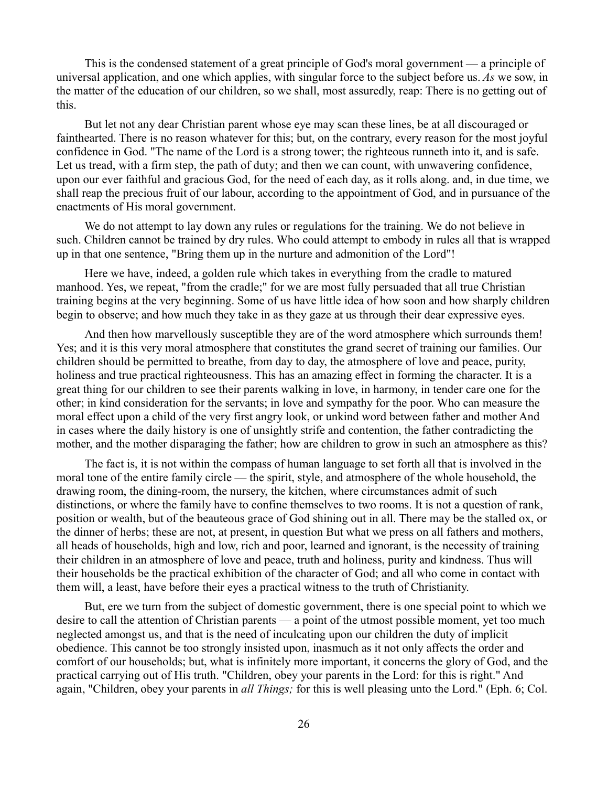This is the condensed statement of a great principle of God's moral government — a principle of universal application, and one which applies, with singular force to the subject before us. *As* we sow, in the matter of the education of our children, so we shall, most assuredly, reap: There is no getting out of this.

But let not any dear Christian parent whose eye may scan these lines, be at all discouraged or fainthearted. There is no reason whatever for this; but, on the contrary, every reason for the most joyful confidence in God. "The name of the Lord is a strong tower; the righteous runneth into it, and is safe. Let us tread, with a firm step, the path of duty; and then we can count, with unwavering confidence, upon our ever faithful and gracious God, for the need of each day, as it rolls along. and, in due time, we shall reap the precious fruit of our labour, according to the appointment of God, and in pursuance of the enactments of His moral government.

We do not attempt to lay down any rules or regulations for the training. We do not believe in such. Children cannot be trained by dry rules. Who could attempt to embody in rules all that is wrapped up in that one sentence, "Bring them up in the nurture and admonition of the Lord"!

Here we have, indeed, a golden rule which takes in everything from the cradle to matured manhood. Yes, we repeat, "from the cradle;" for we are most fully persuaded that all true Christian training begins at the very beginning. Some of us have little idea of how soon and how sharply children begin to observe; and how much they take in as they gaze at us through their dear expressive eyes.

And then how marvellously susceptible they are of the word atmosphere which surrounds them! Yes; and it is this very moral atmosphere that constitutes the grand secret of training our families. Our children should be permitted to breathe, from day to day, the atmosphere of love and peace, purity, holiness and true practical righteousness. This has an amazing effect in forming the character. It is a great thing for our children to see their parents walking in love, in harmony, in tender care one for the other; in kind consideration for the servants; in love and sympathy for the poor. Who can measure the moral effect upon a child of the very first angry look, or unkind word between father and mother And in cases where the daily history is one of unsightly strife and contention, the father contradicting the mother, and the mother disparaging the father; how are children to grow in such an atmosphere as this?

The fact is, it is not within the compass of human language to set forth all that is involved in the moral tone of the entire family circle — the spirit, style, and atmosphere of the whole household, the drawing room, the dining-room, the nursery, the kitchen, where circumstances admit of such distinctions, or where the family have to confine themselves to two rooms. It is not a question of rank, position or wealth, but of the beauteous grace of God shining out in all. There may be the stalled ox, or the dinner of herbs; these are not, at present, in question But what we press on all fathers and mothers, all heads of households, high and low, rich and poor, learned and ignorant, is the necessity of training their children in an atmosphere of love and peace, truth and holiness, purity and kindness. Thus will their households be the practical exhibition of the character of God; and all who come in contact with them will, a least, have before their eyes a practical witness to the truth of Christianity.

But, ere we turn from the subject of domestic government, there is one special point to which we desire to call the attention of Christian parents — a point of the utmost possible moment, yet too much neglected amongst us, and that is the need of inculcating upon our children the duty of implicit obedience. This cannot be too strongly insisted upon, inasmuch as it not only affects the order and comfort of our households; but, what is infinitely more important, it concerns the glory of God, and the practical carrying out of His truth. "Children, obey your parents in the Lord: for this is right." And again, "Children, obey your parents in *all Things;* for this is well pleasing unto the Lord." (Eph. 6; Col.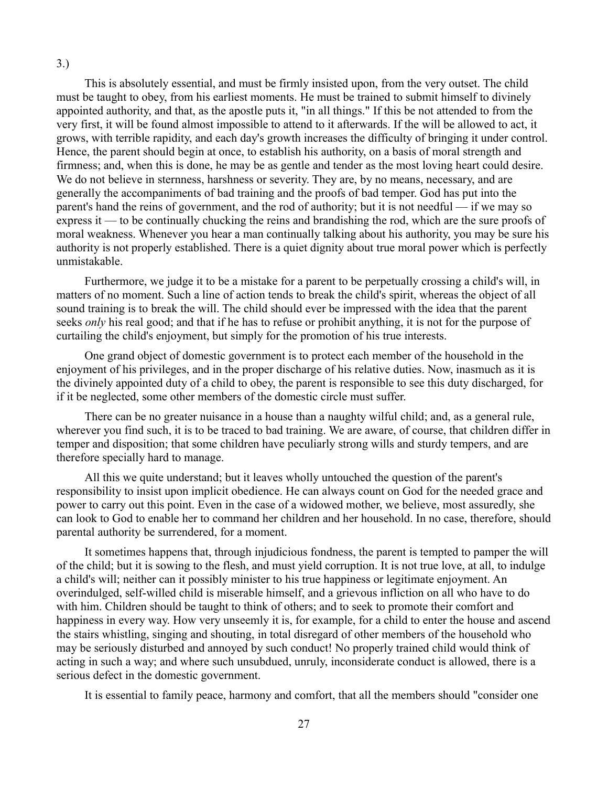This is absolutely essential, and must be firmly insisted upon, from the very outset. The child must be taught to obey, from his earliest moments. He must be trained to submit himself to divinely appointed authority, and that, as the apostle puts it, "in all things." If this be not attended to from the very first, it will be found almost impossible to attend to it afterwards. If the will be allowed to act, it grows, with terrible rapidity, and each day's growth increases the difficulty of bringing it under control. Hence, the parent should begin at once, to establish his authority, on a basis of moral strength and firmness; and, when this is done, he may be as gentle and tender as the most loving heart could desire. We do not believe in sternness, harshness or severity. They are, by no means, necessary, and are generally the accompaniments of bad training and the proofs of bad temper. God has put into the parent's hand the reins of government, and the rod of authority; but it is not needful — if we may so express it — to be continually chucking the reins and brandishing the rod, which are the sure proofs of moral weakness. Whenever you hear a man continually talking about his authority, you may be sure his authority is not properly established. There is a quiet dignity about true moral power which is perfectly unmistakable.

3.)

Furthermore, we judge it to be a mistake for a parent to be perpetually crossing a child's will, in matters of no moment. Such a line of action tends to break the child's spirit, whereas the object of all sound training is to break the will. The child should ever be impressed with the idea that the parent seeks *only* his real good; and that if he has to refuse or prohibit anything, it is not for the purpose of curtailing the child's enjoyment, but simply for the promotion of his true interests.

One grand object of domestic government is to protect each member of the household in the enjoyment of his privileges, and in the proper discharge of his relative duties. Now, inasmuch as it is the divinely appointed duty of a child to obey, the parent is responsible to see this duty discharged, for if it be neglected, some other members of the domestic circle must suffer.

There can be no greater nuisance in a house than a naughty wilful child; and, as a general rule, wherever you find such, it is to be traced to bad training. We are aware, of course, that children differ in temper and disposition; that some children have peculiarly strong wills and sturdy tempers, and are therefore specially hard to manage.

All this we quite understand; but it leaves wholly untouched the question of the parent's responsibility to insist upon implicit obedience. He can always count on God for the needed grace and power to carry out this point. Even in the case of a widowed mother, we believe, most assuredly, she can look to God to enable her to command her children and her household. In no case, therefore, should parental authority be surrendered, for a moment.

It sometimes happens that, through injudicious fondness, the parent is tempted to pamper the will of the child; but it is sowing to the flesh, and must yield corruption. It is not true love, at all, to indulge a child's will; neither can it possibly minister to his true happiness or legitimate enjoyment. An overindulged, self-willed child is miserable himself, and a grievous infliction on all who have to do with him. Children should be taught to think of others; and to seek to promote their comfort and happiness in every way. How very unseemly it is, for example, for a child to enter the house and ascend the stairs whistling, singing and shouting, in total disregard of other members of the household who may be seriously disturbed and annoyed by such conduct! No properly trained child would think of acting in such a way; and where such unsubdued, unruly, inconsiderate conduct is allowed, there is a serious defect in the domestic government.

It is essential to family peace, harmony and comfort, that all the members should "consider one

27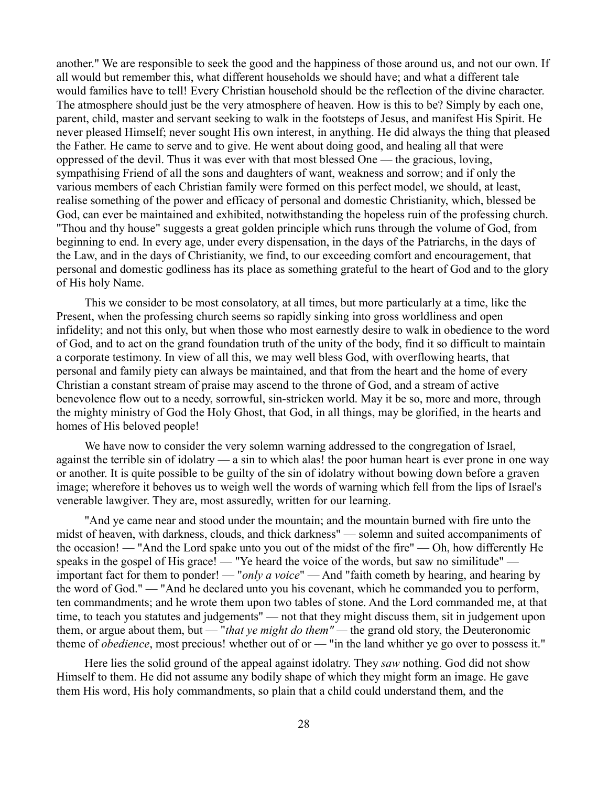another." We are responsible to seek the good and the happiness of those around us, and not our own. If all would but remember this, what different households we should have; and what a different tale would families have to tell! Every Christian household should be the reflection of the divine character. The atmosphere should just be the very atmosphere of heaven. How is this to be? Simply by each one, parent, child, master and servant seeking to walk in the footsteps of Jesus, and manifest His Spirit. He never pleased Himself; never sought His own interest, in anything. He did always the thing that pleased the Father. He came to serve and to give. He went about doing good, and healing all that were oppressed of the devil. Thus it was ever with that most blessed One — the gracious, loving, sympathising Friend of all the sons and daughters of want, weakness and sorrow; and if only the various members of each Christian family were formed on this perfect model, we should, at least, realise something of the power and efficacy of personal and domestic Christianity, which, blessed be God, can ever be maintained and exhibited, notwithstanding the hopeless ruin of the professing church. "Thou and thy house" suggests a great golden principle which runs through the volume of God, from beginning to end. In every age, under every dispensation, in the days of the Patriarchs, in the days of the Law, and in the days of Christianity, we find, to our exceeding comfort and encouragement, that personal and domestic godliness has its place as something grateful to the heart of God and to the glory of His holy Name.

This we consider to be most consolatory, at all times, but more particularly at a time, like the Present, when the professing church seems so rapidly sinking into gross worldliness and open infidelity; and not this only, but when those who most earnestly desire to walk in obedience to the word of God, and to act on the grand foundation truth of the unity of the body, find it so difficult to maintain a corporate testimony. In view of all this, we may well bless God, with overflowing hearts, that personal and family piety can always be maintained, and that from the heart and the home of every Christian a constant stream of praise may ascend to the throne of God, and a stream of active benevolence flow out to a needy, sorrowful, sin-stricken world. May it be so, more and more, through the mighty ministry of God the Holy Ghost, that God, in all things, may be glorified, in the hearts and homes of His beloved people!

We have now to consider the very solemn warning addressed to the congregation of Israel, against the terrible sin of idolatry — a sin to which alas! the poor human heart is ever prone in one way or another. It is quite possible to be guilty of the sin of idolatry without bowing down before a graven image; wherefore it behoves us to weigh well the words of warning which fell from the lips of Israel's venerable lawgiver. They are, most assuredly, written for our learning.

"And ye came near and stood under the mountain; and the mountain burned with fire unto the midst of heaven, with darkness, clouds, and thick darkness" — solemn and suited accompaniments of the occasion! — "And the Lord spake unto you out of the midst of the fire" — Oh, how differently He speaks in the gospel of His grace! — "Ye heard the voice of the words, but saw no similitude" important fact for them to ponder! — "*only a voice*" — And "faith cometh by hearing, and hearing by the word of God." — "And he declared unto you his covenant, which he commanded you to perform, ten commandments; and he wrote them upon two tables of stone. And the Lord commanded me, at that time, to teach you statutes and judgements" — not that they might discuss them, sit in judgement upon them, or argue about them, but — "*that ye might do them" —* the grand old story, the Deuteronomic theme of *obedience*, most precious! whether out of or — "in the land whither ye go over to possess it."

Here lies the solid ground of the appeal against idolatry. They *saw* nothing. God did not show Himself to them. He did not assume any bodily shape of which they might form an image. He gave them His word, His holy commandments, so plain that a child could understand them, and the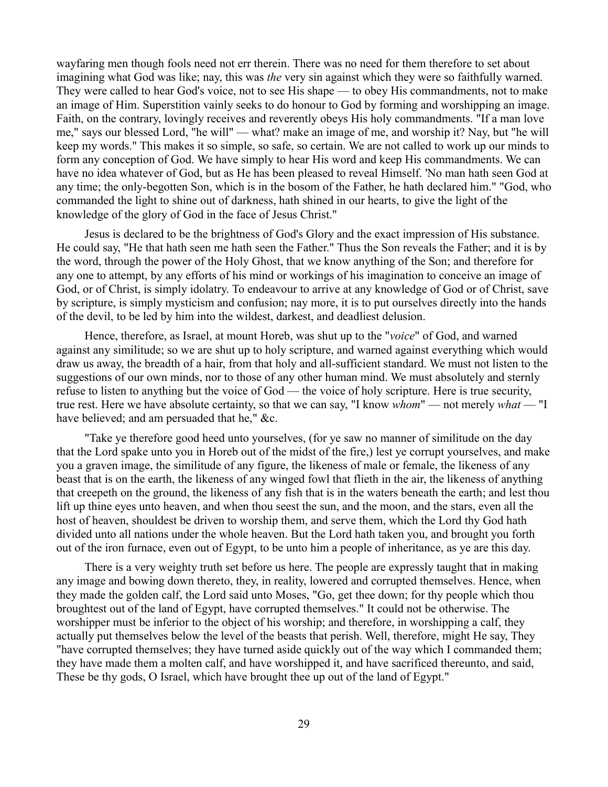wayfaring men though fools need not err therein. There was no need for them therefore to set about imagining what God was like; nay, this was *the* very sin against which they were so faithfully warned. They were called to hear God's voice, not to see His shape — to obey His commandments, not to make an image of Him. Superstition vainly seeks to do honour to God by forming and worshipping an image. Faith, on the contrary, lovingly receives and reverently obeys His holy commandments. "If a man love me," says our blessed Lord, "he will" — what? make an image of me, and worship it? Nay, but "he will keep my words." This makes it so simple, so safe, so certain. We are not called to work up our minds to form any conception of God. We have simply to hear His word and keep His commandments. We can have no idea whatever of God, but as He has been pleased to reveal Himself. 'No man hath seen God at any time; the only-begotten Son, which is in the bosom of the Father, he hath declared him." "God, who commanded the light to shine out of darkness, hath shined in our hearts, to give the light of the knowledge of the glory of God in the face of Jesus Christ."

Jesus is declared to be the brightness of God's Glory and the exact impression of His substance. He could say, "He that hath seen me hath seen the Father." Thus the Son reveals the Father; and it is by the word, through the power of the Holy Ghost, that we know anything of the Son; and therefore for any one to attempt, by any efforts of his mind or workings of his imagination to conceive an image of God, or of Christ, is simply idolatry. To endeavour to arrive at any knowledge of God or of Christ, save by scripture, is simply mysticism and confusion; nay more, it is to put ourselves directly into the hands of the devil, to be led by him into the wildest, darkest, and deadliest delusion.

Hence, therefore, as Israel, at mount Horeb, was shut up to the "*voice*" of God, and warned against any similitude; so we are shut up to holy scripture, and warned against everything which would draw us away, the breadth of a hair, from that holy and all-sufficient standard. We must not listen to the suggestions of our own minds, nor to those of any other human mind. We must absolutely and sternly refuse to listen to anything but the voice of God — the voice of holy scripture. Here is true security, true rest. Here we have absolute certainty, so that we can say, "I know *whom*" — not merely *what* — "I have believed; and am persuaded that he," &c.

"Take ye therefore good heed unto yourselves, (for ye saw no manner of similitude on the day that the Lord spake unto you in Horeb out of the midst of the fire,) lest ye corrupt yourselves, and make you a graven image, the similitude of any figure, the likeness of male or female, the likeness of any beast that is on the earth, the likeness of any winged fowl that flieth in the air, the likeness of anything that creepeth on the ground, the likeness of any fish that is in the waters beneath the earth; and lest thou lift up thine eyes unto heaven, and when thou seest the sun, and the moon, and the stars, even all the host of heaven, shouldest be driven to worship them, and serve them, which the Lord thy God hath divided unto all nations under the whole heaven. But the Lord hath taken you, and brought you forth out of the iron furnace, even out of Egypt, to be unto him a people of inheritance, as ye are this day.

There is a very weighty truth set before us here. The people are expressly taught that in making any image and bowing down thereto, they, in reality, lowered and corrupted themselves. Hence, when they made the golden calf, the Lord said unto Moses, "Go, get thee down; for thy people which thou broughtest out of the land of Egypt, have corrupted themselves." It could not be otherwise. The worshipper must be inferior to the object of his worship; and therefore, in worshipping a calf, they actually put themselves below the level of the beasts that perish. Well, therefore, might He say, They "have corrupted themselves; they have turned aside quickly out of the way which I commanded them; they have made them a molten calf, and have worshipped it, and have sacrificed thereunto, and said, These be thy gods, O Israel, which have brought thee up out of the land of Egypt."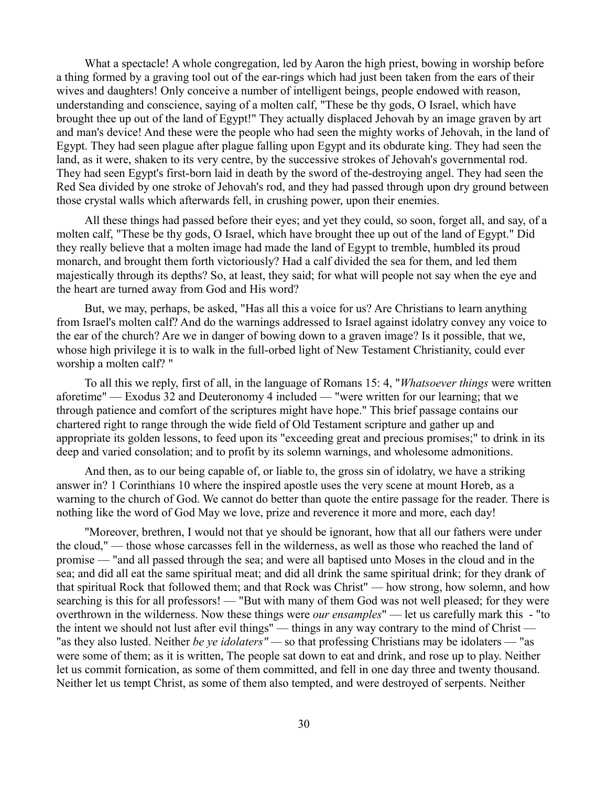What a spectacle! A whole congregation, led by Aaron the high priest, bowing in worship before a thing formed by a graving tool out of the ear-rings which had just been taken from the ears of their wives and daughters! Only conceive a number of intelligent beings, people endowed with reason, understanding and conscience, saying of a molten calf, "These be thy gods, O Israel, which have brought thee up out of the land of Egypt!" They actually displaced Jehovah by an image graven by art and man's device! And these were the people who had seen the mighty works of Jehovah, in the land of Egypt. They had seen plague after plague falling upon Egypt and its obdurate king. They had seen the land, as it were, shaken to its very centre, by the successive strokes of Jehovah's governmental rod. They had seen Egypt's first-born laid in death by the sword of the-destroying angel. They had seen the Red Sea divided by one stroke of Jehovah's rod, and they had passed through upon dry ground between those crystal walls which afterwards fell, in crushing power, upon their enemies.

All these things had passed before their eyes; and yet they could, so soon, forget all, and say, of a molten calf, "These be thy gods, O Israel, which have brought thee up out of the land of Egypt." Did they really believe that a molten image had made the land of Egypt to tremble, humbled its proud monarch, and brought them forth victoriously? Had a calf divided the sea for them, and led them majestically through its depths? So, at least, they said; for what will people not say when the eye and the heart are turned away from God and His word?

But, we may, perhaps, be asked, "Has all this a voice for us? Are Christians to learn anything from Israel's molten calf? And do the warnings addressed to Israel against idolatry convey any voice to the ear of the church? Are we in danger of bowing down to a graven image? Is it possible, that we, whose high privilege it is to walk in the full-orbed light of New Testament Christianity, could ever worship a molten calf? "

To all this we reply, first of all, in the language of Romans 15: 4, "*Whatsoever things* were written aforetime" — Exodus 32 and Deuteronomy 4 included — "were written for our learning; that we through patience and comfort of the scriptures might have hope." This brief passage contains our chartered right to range through the wide field of Old Testament scripture and gather up and appropriate its golden lessons, to feed upon its "exceeding great and precious promises;" to drink in its deep and varied consolation; and to profit by its solemn warnings, and wholesome admonitions.

And then, as to our being capable of, or liable to, the gross sin of idolatry, we have a striking answer in? 1 Corinthians 10 where the inspired apostle uses the very scene at mount Horeb, as a warning to the church of God. We cannot do better than quote the entire passage for the reader. There is nothing like the word of God May we love, prize and reverence it more and more, each day!

"Moreover, brethren, I would not that ye should be ignorant, how that all our fathers were under the cloud," — those whose carcasses fell in the wilderness, as well as those who reached the land of promise — "and all passed through the sea; and were all baptised unto Moses in the cloud and in the sea; and did all eat the same spiritual meat; and did all drink the same spiritual drink; for they drank of that spiritual Rock that followed them; and that Rock was Christ" — how strong, how solemn, and how searching is this for all professors! — "But with many of them God was not well pleased; for they were overthrown in the wilderness. Now these things were *our ensamples*" — let us carefully mark this - "to the intent we should not lust after evil things" — things in any way contrary to the mind of Christ — "as they also lusted. Neither *be ye idolaters" —* so that professing Christians may be idolaters — "as were some of them; as it is written, The people sat down to eat and drink, and rose up to play. Neither let us commit fornication, as some of them committed, and fell in one day three and twenty thousand. Neither let us tempt Christ, as some of them also tempted, and were destroyed of serpents. Neither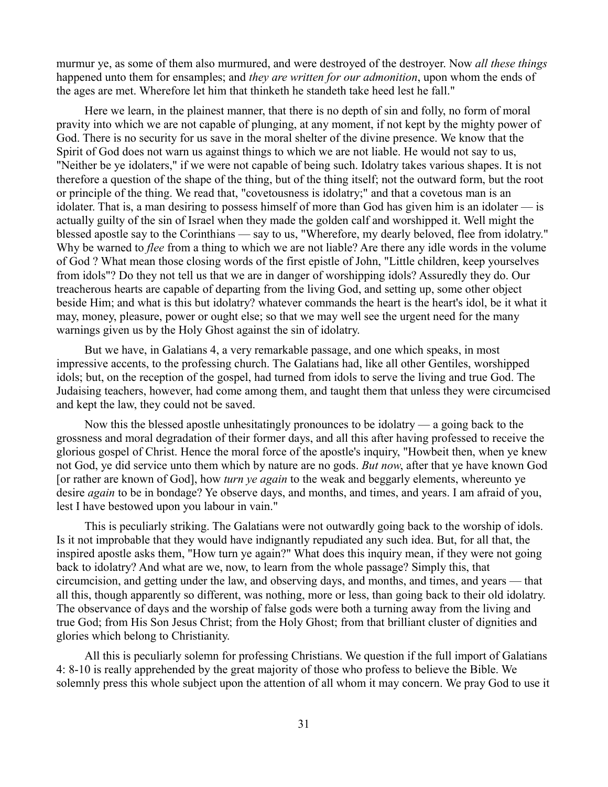murmur ye, as some of them also murmured, and were destroyed of the destroyer. Now *all these things* happened unto them for ensamples; and *they are written for our admonition*, upon whom the ends of the ages are met. Wherefore let him that thinketh he standeth take heed lest he fall."

Here we learn, in the plainest manner, that there is no depth of sin and folly, no form of moral pravity into which we are not capable of plunging, at any moment, if not kept by the mighty power of God. There is no security for us save in the moral shelter of the divine presence. We know that the Spirit of God does not warn us against things to which we are not liable. He would not say to us, "Neither be ye idolaters," if we were not capable of being such. Idolatry takes various shapes. It is not therefore a question of the shape of the thing, but of the thing itself; not the outward form, but the root or principle of the thing. We read that, "covetousness is idolatry;" and that a covetous man is an idolater. That is, a man desiring to possess himself of more than God has given him is an idolater — is actually guilty of the sin of Israel when they made the golden calf and worshipped it. Well might the blessed apostle say to the Corinthians — say to us, "Wherefore, my dearly beloved, flee from idolatry." Why be warned to *flee* from a thing to which we are not liable? Are there any idle words in the volume of God ? What mean those closing words of the first epistle of John, "Little children, keep yourselves from idols"? Do they not tell us that we are in danger of worshipping idols? Assuredly they do. Our treacherous hearts are capable of departing from the living God, and setting up, some other object beside Him; and what is this but idolatry? whatever commands the heart is the heart's idol, be it what it may, money, pleasure, power or ought else; so that we may well see the urgent need for the many warnings given us by the Holy Ghost against the sin of idolatry.

But we have, in Galatians 4, a very remarkable passage, and one which speaks, in most impressive accents, to the professing church. The Galatians had, like all other Gentiles, worshipped idols; but, on the reception of the gospel, had turned from idols to serve the living and true God. The Judaising teachers, however, had come among them, and taught them that unless they were circumcised and kept the law, they could not be saved.

Now this the blessed apostle unhesitatingly pronounces to be idolatry — a going back to the grossness and moral degradation of their former days, and all this after having professed to receive the glorious gospel of Christ. Hence the moral force of the apostle's inquiry, "Howbeit then, when ye knew not God, ye did service unto them which by nature are no gods. *But now*, after that ye have known God [or rather are known of God], how *turn ye again* to the weak and beggarly elements, whereunto ye desire *again* to be in bondage? Ye observe days, and months, and times, and years. I am afraid of you, lest I have bestowed upon you labour in vain."

This is peculiarly striking. The Galatians were not outwardly going back to the worship of idols. Is it not improbable that they would have indignantly repudiated any such idea. But, for all that, the inspired apostle asks them, "How turn ye again?" What does this inquiry mean, if they were not going back to idolatry? And what are we, now, to learn from the whole passage? Simply this, that circumcision, and getting under the law, and observing days, and months, and times, and years — that all this, though apparently so different, was nothing, more or less, than going back to their old idolatry. The observance of days and the worship of false gods were both a turning away from the living and true God; from His Son Jesus Christ; from the Holy Ghost; from that brilliant cluster of dignities and glories which belong to Christianity.

All this is peculiarly solemn for professing Christians. We question if the full import of Galatians 4: 8-10 is really apprehended by the great majority of those who profess to believe the Bible. We solemnly press this whole subject upon the attention of all whom it may concern. We pray God to use it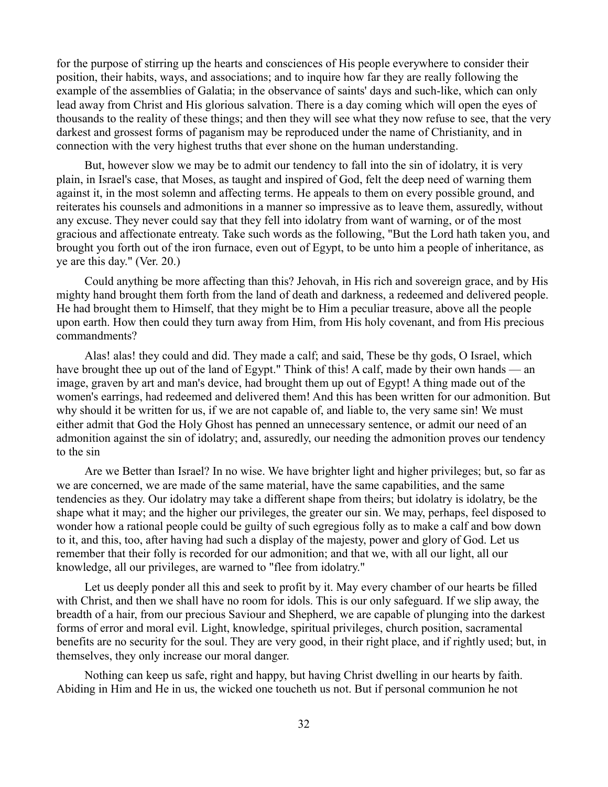for the purpose of stirring up the hearts and consciences of His people everywhere to consider their position, their habits, ways, and associations; and to inquire how far they are really following the example of the assemblies of Galatia; in the observance of saints' days and such-like, which can only lead away from Christ and His glorious salvation. There is a day coming which will open the eyes of thousands to the reality of these things; and then they will see what they now refuse to see, that the very darkest and grossest forms of paganism may be reproduced under the name of Christianity, and in connection with the very highest truths that ever shone on the human understanding.

But, however slow we may be to admit our tendency to fall into the sin of idolatry, it is very plain, in Israel's case, that Moses, as taught and inspired of God, felt the deep need of warning them against it, in the most solemn and affecting terms. He appeals to them on every possible ground, and reiterates his counsels and admonitions in a manner so impressive as to leave them, assuredly, without any excuse. They never could say that they fell into idolatry from want of warning, or of the most gracious and affectionate entreaty. Take such words as the following, "But the Lord hath taken you, and brought you forth out of the iron furnace, even out of Egypt, to be unto him a people of inheritance, as ye are this day." (Ver. 20.)

Could anything be more affecting than this? Jehovah, in His rich and sovereign grace, and by His mighty hand brought them forth from the land of death and darkness, a redeemed and delivered people. He had brought them to Himself, that they might be to Him a peculiar treasure, above all the people upon earth. How then could they turn away from Him, from His holy covenant, and from His precious commandments?

Alas! alas! they could and did. They made a calf; and said, These be thy gods, O Israel, which have brought thee up out of the land of Egypt." Think of this! A calf, made by their own hands — an image, graven by art and man's device, had brought them up out of Egypt! A thing made out of the women's earrings, had redeemed and delivered them! And this has been written for our admonition. But why should it be written for us, if we are not capable of, and liable to, the very same sin! We must either admit that God the Holy Ghost has penned an unnecessary sentence, or admit our need of an admonition against the sin of idolatry; and, assuredly, our needing the admonition proves our tendency to the sin

Are we Better than Israel? In no wise. We have brighter light and higher privileges; but, so far as we are concerned, we are made of the same material, have the same capabilities, and the same tendencies as they. Our idolatry may take a different shape from theirs; but idolatry is idolatry, be the shape what it may; and the higher our privileges, the greater our sin. We may, perhaps, feel disposed to wonder how a rational people could be guilty of such egregious folly as to make a calf and bow down to it, and this, too, after having had such a display of the majesty, power and glory of God. Let us remember that their folly is recorded for our admonition; and that we, with all our light, all our knowledge, all our privileges, are warned to "flee from idolatry."

Let us deeply ponder all this and seek to profit by it. May every chamber of our hearts be filled with Christ, and then we shall have no room for idols. This is our only safeguard. If we slip away, the breadth of a hair, from our precious Saviour and Shepherd, we are capable of plunging into the darkest forms of error and moral evil. Light, knowledge, spiritual privileges, church position, sacramental benefits are no security for the soul. They are very good, in their right place, and if rightly used; but, in themselves, they only increase our moral danger.

Nothing can keep us safe, right and happy, but having Christ dwelling in our hearts by faith. Abiding in Him and He in us, the wicked one toucheth us not. But if personal communion he not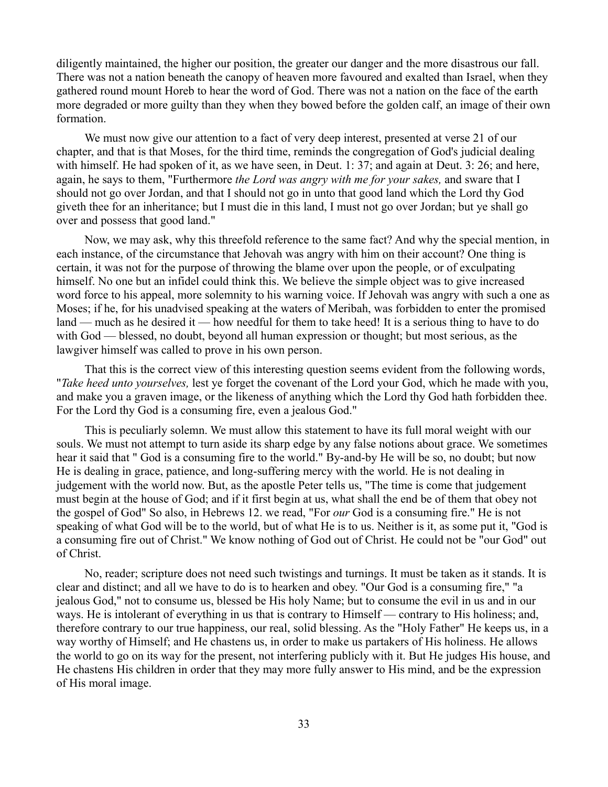diligently maintained, the higher our position, the greater our danger and the more disastrous our fall. There was not a nation beneath the canopy of heaven more favoured and exalted than Israel, when they gathered round mount Horeb to hear the word of God. There was not a nation on the face of the earth more degraded or more guilty than they when they bowed before the golden calf, an image of their own formation.

We must now give our attention to a fact of very deep interest, presented at verse 21 of our chapter, and that is that Moses, for the third time, reminds the congregation of God's judicial dealing with himself. He had spoken of it, as we have seen, in Deut. 1: 37; and again at Deut. 3: 26; and here, again, he says to them, "Furthermore *the Lord was angry with me for your sakes,* and sware that I should not go over Jordan, and that I should not go in unto that good land which the Lord thy God giveth thee for an inheritance; but I must die in this land, I must not go over Jordan; but ye shall go over and possess that good land."

Now, we may ask, why this threefold reference to the same fact? And why the special mention, in each instance, of the circumstance that Jehovah was angry with him on their account? One thing is certain, it was not for the purpose of throwing the blame over upon the people, or of exculpating himself. No one but an infidel could think this. We believe the simple object was to give increased word force to his appeal, more solemnity to his warning voice. If Jehovah was angry with such a one as Moses; if he, for his unadvised speaking at the waters of Meribah, was forbidden to enter the promised land — much as he desired it — how needful for them to take heed! It is a serious thing to have to do with God — blessed, no doubt, beyond all human expression or thought; but most serious, as the lawgiver himself was called to prove in his own person.

That this is the correct view of this interesting question seems evident from the following words, "*Take heed unto yourselves,* lest ye forget the covenant of the Lord your God, which he made with you, and make you a graven image, or the likeness of anything which the Lord thy God hath forbidden thee. For the Lord thy God is a consuming fire, even a jealous God."

This is peculiarly solemn. We must allow this statement to have its full moral weight with our souls. We must not attempt to turn aside its sharp edge by any false notions about grace. We sometimes hear it said that " God is a consuming fire to the world." By-and-by He will be so, no doubt; but now He is dealing in grace, patience, and long-suffering mercy with the world. He is not dealing in judgement with the world now. But, as the apostle Peter tells us, "The time is come that judgement must begin at the house of God; and if it first begin at us, what shall the end be of them that obey not the gospel of God" So also, in Hebrews 12. we read, "For *our* God is a consuming fire." He is not speaking of what God will be to the world, but of what He is to us. Neither is it, as some put it, "God is a consuming fire out of Christ." We know nothing of God out of Christ. He could not be "our God" out of Christ.

No, reader; scripture does not need such twistings and turnings. It must be taken as it stands. It is clear and distinct; and all we have to do is to hearken and obey. "Our God is a consuming fire," "a jealous God," not to consume us, blessed be His holy Name; but to consume the evil in us and in our ways. He is intolerant of everything in us that is contrary to Himself — contrary to His holiness; and, therefore contrary to our true happiness, our real, solid blessing. As the "Holy Father" He keeps us, in a way worthy of Himself; and He chastens us, in order to make us partakers of His holiness. He allows the world to go on its way for the present, not interfering publicly with it. But He judges His house, and He chastens His children in order that they may more fully answer to His mind, and be the expression of His moral image.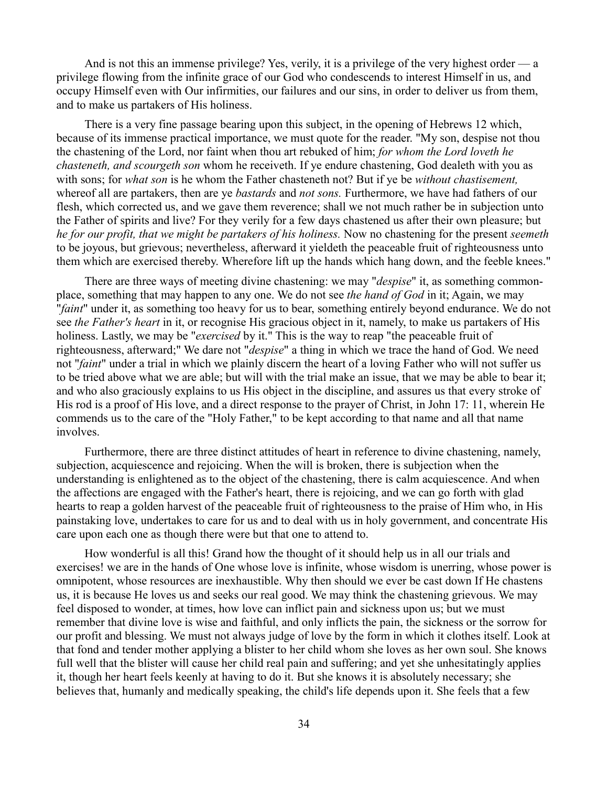And is not this an immense privilege? Yes, verily, it is a privilege of the very highest order — a privilege flowing from the infinite grace of our God who condescends to interest Himself in us, and occupy Himself even with Our infirmities, our failures and our sins, in order to deliver us from them, and to make us partakers of His holiness.

There is a very fine passage bearing upon this subject, in the opening of Hebrews 12 which, because of its immense practical importance, we must quote for the reader. "My son, despise not thou the chastening of the Lord, nor faint when thou art rebuked of him; *for whom the Lord loveth he chasteneth, and scourgeth son* whom he receiveth. If ye endure chastening, God dealeth with you as with sons; for *what son* is he whom the Father chasteneth not? But if ye be *without chastisement,* whereof all are partakers, then are ye *bastards* and *not sons.* Furthermore, we have had fathers of our flesh, which corrected us, and we gave them reverence; shall we not much rather be in subjection unto the Father of spirits and live? For they verily for a few days chastened us after their own pleasure; but *he for our profit, that we might be partakers of his holiness.* Now no chastening for the present *seemeth* to be joyous, but grievous; nevertheless, afterward it yieldeth the peaceable fruit of righteousness unto them which are exercised thereby. Wherefore lift up the hands which hang down, and the feeble knees."

There are three ways of meeting divine chastening: we may "*despise*" it, as something commonplace, something that may happen to any one. We do not see *the hand of God* in it; Again, we may "*faint*" under it, as something too heavy for us to bear, something entirely beyond endurance. We do not see *the Father's heart* in it, or recognise His gracious object in it, namely, to make us partakers of His holiness. Lastly, we may be "*exercised* by it." This is the way to reap "the peaceable fruit of righteousness, afterward;" We dare not "*despise*" a thing in which we trace the hand of God. We need not "*faint*" under a trial in which we plainly discern the heart of a loving Father who will not suffer us to be tried above what we are able; but will with the trial make an issue, that we may be able to bear it; and who also graciously explains to us His object in the discipline, and assures us that every stroke of His rod is a proof of His love, and a direct response to the prayer of Christ, in John 17: 11, wherein He commends us to the care of the "Holy Father," to be kept according to that name and all that name involves.

Furthermore, there are three distinct attitudes of heart in reference to divine chastening, namely, subjection, acquiescence and rejoicing. When the will is broken, there is subjection when the understanding is enlightened as to the object of the chastening, there is calm acquiescence. And when the affections are engaged with the Father's heart, there is rejoicing, and we can go forth with glad hearts to reap a golden harvest of the peaceable fruit of righteousness to the praise of Him who, in His painstaking love, undertakes to care for us and to deal with us in holy government, and concentrate His care upon each one as though there were but that one to attend to.

How wonderful is all this! Grand how the thought of it should help us in all our trials and exercises! we are in the hands of One whose love is infinite, whose wisdom is unerring, whose power is omnipotent, whose resources are inexhaustible. Why then should we ever be cast down If He chastens us, it is because He loves us and seeks our real good. We may think the chastening grievous. We may feel disposed to wonder, at times, how love can inflict pain and sickness upon us; but we must remember that divine love is wise and faithful, and only inflicts the pain, the sickness or the sorrow for our profit and blessing. We must not always judge of love by the form in which it clothes itself. Look at that fond and tender mother applying a blister to her child whom she loves as her own soul. She knows full well that the blister will cause her child real pain and suffering; and yet she unhesitatingly applies it, though her heart feels keenly at having to do it. But she knows it is absolutely necessary; she believes that, humanly and medically speaking, the child's life depends upon it. She feels that a few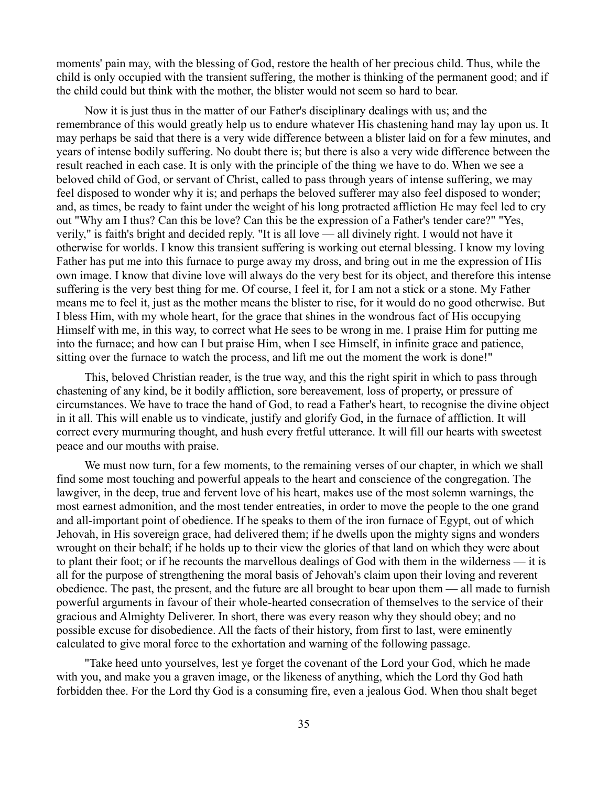moments' pain may, with the blessing of God, restore the health of her precious child. Thus, while the child is only occupied with the transient suffering, the mother is thinking of the permanent good; and if the child could but think with the mother, the blister would not seem so hard to bear.

Now it is just thus in the matter of our Father's disciplinary dealings with us; and the remembrance of this would greatly help us to endure whatever His chastening hand may lay upon us. It may perhaps be said that there is a very wide difference between a blister laid on for a few minutes, and years of intense bodily suffering. No doubt there is; but there is also a very wide difference between the result reached in each case. It is only with the principle of the thing we have to do. When we see a beloved child of God, or servant of Christ, called to pass through years of intense suffering, we may feel disposed to wonder why it is; and perhaps the beloved sufferer may also feel disposed to wonder; and, as times, be ready to faint under the weight of his long protracted affliction He may feel led to cry out "Why am I thus? Can this be love? Can this be the expression of a Father's tender care?" "Yes, verily," is faith's bright and decided reply. "It is all love — all divinely right. I would not have it otherwise for worlds. I know this transient suffering is working out eternal blessing. I know my loving Father has put me into this furnace to purge away my dross, and bring out in me the expression of His own image. I know that divine love will always do the very best for its object, and therefore this intense suffering is the very best thing for me. Of course, I feel it, for I am not a stick or a stone. My Father means me to feel it, just as the mother means the blister to rise, for it would do no good otherwise. But I bless Him, with my whole heart, for the grace that shines in the wondrous fact of His occupying Himself with me, in this way, to correct what He sees to be wrong in me. I praise Him for putting me into the furnace; and how can I but praise Him, when I see Himself, in infinite grace and patience, sitting over the furnace to watch the process, and lift me out the moment the work is done!"

This, beloved Christian reader, is the true way, and this the right spirit in which to pass through chastening of any kind, be it bodily affliction, sore bereavement, loss of property, or pressure of circumstances. We have to trace the hand of God, to read a Father's heart, to recognise the divine object in it all. This will enable us to vindicate, justify and glorify God, in the furnace of affliction. It will correct every murmuring thought, and hush every fretful utterance. It will fill our hearts with sweetest peace and our mouths with praise.

We must now turn, for a few moments, to the remaining verses of our chapter, in which we shall find some most touching and powerful appeals to the heart and conscience of the congregation. The lawgiver, in the deep, true and fervent love of his heart, makes use of the most solemn warnings, the most earnest admonition, and the most tender entreaties, in order to move the people to the one grand and all-important point of obedience. If he speaks to them of the iron furnace of Egypt, out of which Jehovah, in His sovereign grace, had delivered them; if he dwells upon the mighty signs and wonders wrought on their behalf; if he holds up to their view the glories of that land on which they were about to plant their foot; or if he recounts the marvellous dealings of God with them in the wilderness — it is all for the purpose of strengthening the moral basis of Jehovah's claim upon their loving and reverent obedience. The past, the present, and the future are all brought to bear upon them — all made to furnish powerful arguments in favour of their whole-hearted consecration of themselves to the service of their gracious and Almighty Deliverer. In short, there was every reason why they should obey; and no possible excuse for disobedience. All the facts of their history, from first to last, were eminently calculated to give moral force to the exhortation and warning of the following passage.

"Take heed unto yourselves, lest ye forget the covenant of the Lord your God, which he made with you, and make you a graven image, or the likeness of anything, which the Lord thy God hath forbidden thee. For the Lord thy God is a consuming fire, even a jealous God. When thou shalt beget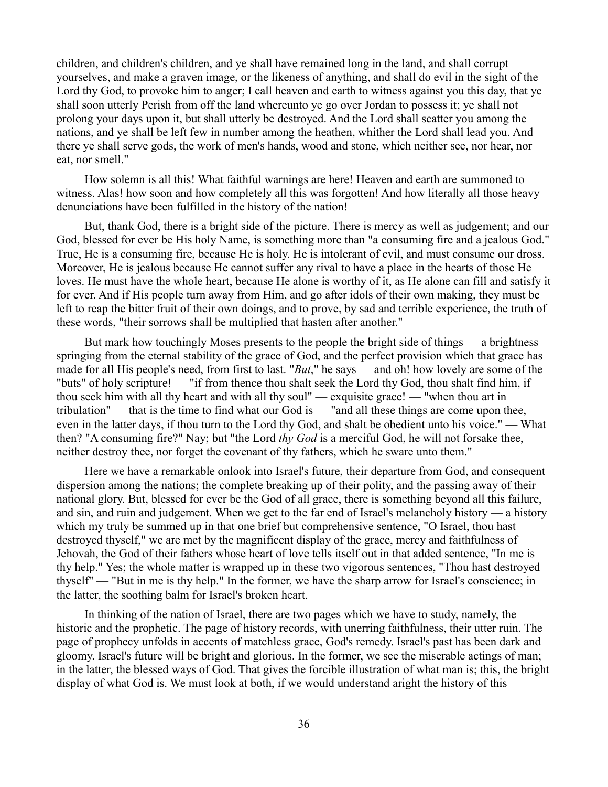children, and children's children, and ye shall have remained long in the land, and shall corrupt yourselves, and make a graven image, or the likeness of anything, and shall do evil in the sight of the Lord thy God, to provoke him to anger; I call heaven and earth to witness against you this day, that ye shall soon utterly Perish from off the land whereunto ye go over Jordan to possess it; ye shall not prolong your days upon it, but shall utterly be destroyed. And the Lord shall scatter you among the nations, and ye shall be left few in number among the heathen, whither the Lord shall lead you. And there ye shall serve gods, the work of men's hands, wood and stone, which neither see, nor hear, nor eat, nor smell."

How solemn is all this! What faithful warnings are here! Heaven and earth are summoned to witness. Alas! how soon and how completely all this was forgotten! And how literally all those heavy denunciations have been fulfilled in the history of the nation!

But, thank God, there is a bright side of the picture. There is mercy as well as judgement; and our God, blessed for ever be His holy Name, is something more than "a consuming fire and a jealous God." True, He is a consuming fire, because He is holy. He is intolerant of evil, and must consume our dross. Moreover, He is jealous because He cannot suffer any rival to have a place in the hearts of those He loves. He must have the whole heart, because He alone is worthy of it, as He alone can fill and satisfy it for ever. And if His people turn away from Him, and go after idols of their own making, they must be left to reap the bitter fruit of their own doings, and to prove, by sad and terrible experience, the truth of these words, "their sorrows shall be multiplied that hasten after another."

But mark how touchingly Moses presents to the people the bright side of things — a brightness springing from the eternal stability of the grace of God, and the perfect provision which that grace has made for all His people's need, from first to last. "*But*," he says — and oh! how lovely are some of the "buts" of holy scripture! — "if from thence thou shalt seek the Lord thy God, thou shalt find him, if thou seek him with all thy heart and with all thy soul" — exquisite grace! — "when thou art in tribulation" — that is the time to find what our God is — "and all these things are come upon thee, even in the latter days, if thou turn to the Lord thy God, and shalt be obedient unto his voice." — What then? "A consuming fire?" Nay; but "the Lord *thy God* is a merciful God, he will not forsake thee, neither destroy thee, nor forget the covenant of thy fathers, which he sware unto them."

Here we have a remarkable onlook into Israel's future, their departure from God, and consequent dispersion among the nations; the complete breaking up of their polity, and the passing away of their national glory. But, blessed for ever be the God of all grace, there is something beyond all this failure, and sin, and ruin and judgement. When we get to the far end of Israel's melancholy history — a history which my truly be summed up in that one brief but comprehensive sentence, "O Israel, thou hast destroyed thyself," we are met by the magnificent display of the grace, mercy and faithfulness of Jehovah, the God of their fathers whose heart of love tells itself out in that added sentence, "In me is thy help." Yes; the whole matter is wrapped up in these two vigorous sentences, "Thou hast destroyed thyself" — "But in me is thy help." In the former, we have the sharp arrow for Israel's conscience; in the latter, the soothing balm for Israel's broken heart.

In thinking of the nation of Israel, there are two pages which we have to study, namely, the historic and the prophetic. The page of history records, with unerring faithfulness, their utter ruin. The page of prophecy unfolds in accents of matchless grace, God's remedy. Israel's past has been dark and gloomy. Israel's future will be bright and glorious. In the former, we see the miserable actings of man; in the latter, the blessed ways of God. That gives the forcible illustration of what man is; this, the bright display of what God is. We must look at both, if we would understand aright the history of this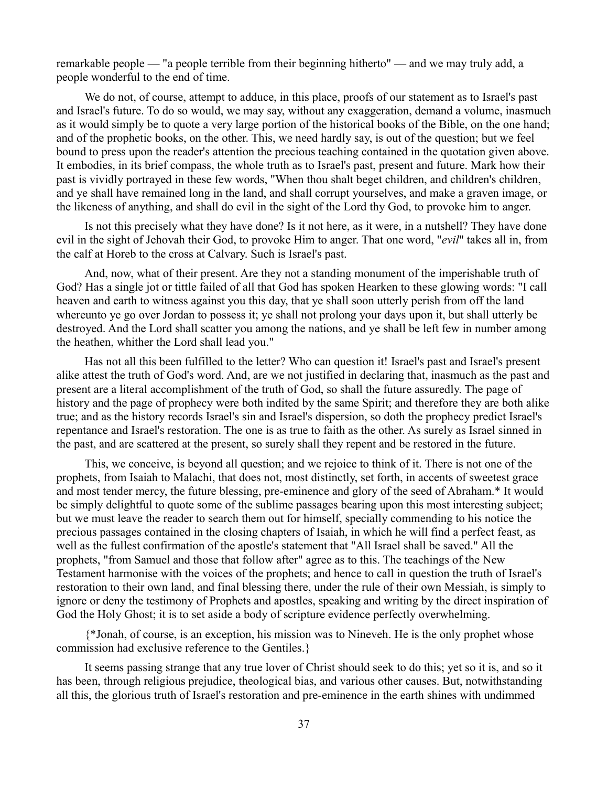remarkable people — "a people terrible from their beginning hitherto" — and we may truly add, a people wonderful to the end of time.

We do not, of course, attempt to adduce, in this place, proofs of our statement as to Israel's past and Israel's future. To do so would, we may say, without any exaggeration, demand a volume, inasmuch as it would simply be to quote a very large portion of the historical books of the Bible, on the one hand; and of the prophetic books, on the other. This, we need hardly say, is out of the question; but we feel bound to press upon the reader's attention the precious teaching contained in the quotation given above. It embodies, in its brief compass, the whole truth as to Israel's past, present and future. Mark how their past is vividly portrayed in these few words, "When thou shalt beget children, and children's children, and ye shall have remained long in the land, and shall corrupt yourselves, and make a graven image, or the likeness of anything, and shall do evil in the sight of the Lord thy God, to provoke him to anger.

Is not this precisely what they have done? Is it not here, as it were, in a nutshell? They have done evil in the sight of Jehovah their God, to provoke Him to anger. That one word, "*evil*" takes all in, from the calf at Horeb to the cross at Calvary. Such is Israel's past.

And, now, what of their present. Are they not a standing monument of the imperishable truth of God? Has a single jot or tittle failed of all that God has spoken Hearken to these glowing words: "I call heaven and earth to witness against you this day, that ye shall soon utterly perish from off the land whereunto ye go over Jordan to possess it; ye shall not prolong your days upon it, but shall utterly be destroyed. And the Lord shall scatter you among the nations, and ye shall be left few in number among the heathen, whither the Lord shall lead you."

Has not all this been fulfilled to the letter? Who can question it! Israel's past and Israel's present alike attest the truth of God's word. And, are we not justified in declaring that, inasmuch as the past and present are a literal accomplishment of the truth of God, so shall the future assuredly. The page of history and the page of prophecy were both indited by the same Spirit; and therefore they are both alike true; and as the history records Israel's sin and Israel's dispersion, so doth the prophecy predict Israel's repentance and Israel's restoration. The one is as true to faith as the other. As surely as Israel sinned in the past, and are scattered at the present, so surely shall they repent and be restored in the future.

This, we conceive, is beyond all question; and we rejoice to think of it. There is not one of the prophets, from Isaiah to Malachi, that does not, most distinctly, set forth, in accents of sweetest grace and most tender mercy, the future blessing, pre-eminence and glory of the seed of Abraham.\* It would be simply delightful to quote some of the sublime passages bearing upon this most interesting subject; but we must leave the reader to search them out for himself, specially commending to his notice the precious passages contained in the closing chapters of Isaiah, in which he will find a perfect feast, as well as the fullest confirmation of the apostle's statement that "All Israel shall be saved." All the prophets, "from Samuel and those that follow after" agree as to this. The teachings of the New Testament harmonise with the voices of the prophets; and hence to call in question the truth of Israel's restoration to their own land, and final blessing there, under the rule of their own Messiah, is simply to ignore or deny the testimony of Prophets and apostles, speaking and writing by the direct inspiration of God the Holy Ghost; it is to set aside a body of scripture evidence perfectly overwhelming.

{\*Jonah, of course, is an exception, his mission was to Nineveh. He is the only prophet whose commission had exclusive reference to the Gentiles.}

It seems passing strange that any true lover of Christ should seek to do this; yet so it is, and so it has been, through religious prejudice, theological bias, and various other causes. But, notwithstanding all this, the glorious truth of Israel's restoration and pre-eminence in the earth shines with undimmed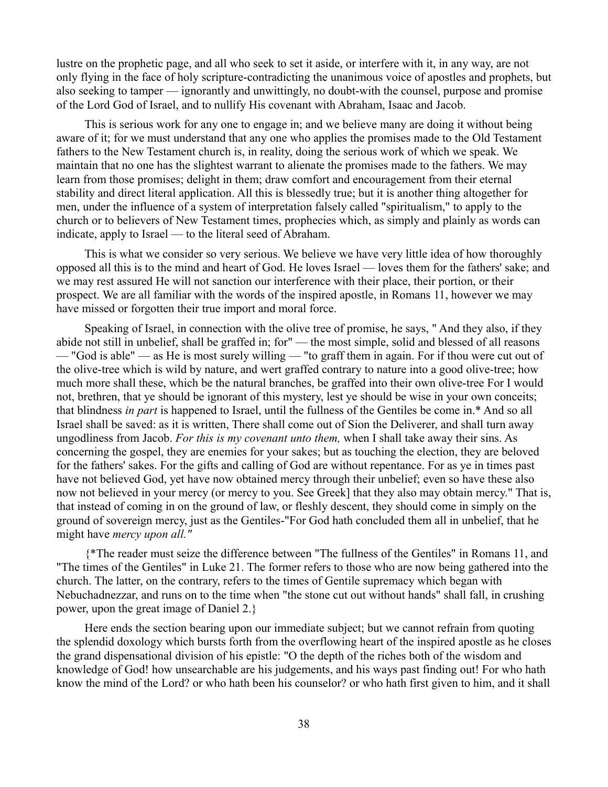lustre on the prophetic page, and all who seek to set it aside, or interfere with it, in any way, are not only flying in the face of holy scripture-contradicting the unanimous voice of apostles and prophets, but also seeking to tamper — ignorantly and unwittingly, no doubt-with the counsel, purpose and promise of the Lord God of Israel, and to nullify His covenant with Abraham, Isaac and Jacob.

This is serious work for any one to engage in; and we believe many are doing it without being aware of it; for we must understand that any one who applies the promises made to the Old Testament fathers to the New Testament church is, in reality, doing the serious work of which we speak. We maintain that no one has the slightest warrant to alienate the promises made to the fathers. We may learn from those promises; delight in them; draw comfort and encouragement from their eternal stability and direct literal application. All this is blessedly true; but it is another thing altogether for men, under the influence of a system of interpretation falsely called "spiritualism," to apply to the church or to believers of New Testament times, prophecies which, as simply and plainly as words can indicate, apply to Israel — to the literal seed of Abraham.

This is what we consider so very serious. We believe we have very little idea of how thoroughly opposed all this is to the mind and heart of God. He loves Israel — loves them for the fathers' sake; and we may rest assured He will not sanction our interference with their place, their portion, or their prospect. We are all familiar with the words of the inspired apostle, in Romans 11, however we may have missed or forgotten their true import and moral force.

Speaking of Israel, in connection with the olive tree of promise, he says, " And they also, if they abide not still in unbelief, shall be graffed in; for" — the most simple, solid and blessed of all reasons — "God is able" — as He is most surely willing — "to graff them in again. For if thou were cut out of the olive-tree which is wild by nature, and wert graffed contrary to nature into a good olive-tree; how much more shall these, which be the natural branches, be graffed into their own olive-tree For I would not, brethren, that ye should be ignorant of this mystery, lest ye should be wise in your own conceits; that blindness *in part* is happened to Israel, until the fullness of the Gentiles be come in.\* And so all Israel shall be saved: as it is written, There shall come out of Sion the Deliverer, and shall turn away ungodliness from Jacob. *For this is my covenant unto them,* when I shall take away their sins. As concerning the gospel, they are enemies for your sakes; but as touching the election, they are beloved for the fathers' sakes. For the gifts and calling of God are without repentance. For as ye in times past have not believed God, yet have now obtained mercy through their unbelief; even so have these also now not believed in your mercy (or mercy to you. See Greek] that they also may obtain mercy." That is, that instead of coming in on the ground of law, or fleshly descent, they should come in simply on the ground of sovereign mercy, just as the Gentiles-"For God hath concluded them all in unbelief, that he might have *mercy upon all."*

{\*The reader must seize the difference between "The fullness of the Gentiles" in Romans 11, and "The times of the Gentiles" in Luke 21. The former refers to those who are now being gathered into the church. The latter, on the contrary, refers to the times of Gentile supremacy which began with Nebuchadnezzar, and runs on to the time when "the stone cut out without hands" shall fall, in crushing power, upon the great image of Daniel 2.}

Here ends the section bearing upon our immediate subject; but we cannot refrain from quoting the splendid doxology which bursts forth from the overflowing heart of the inspired apostle as he closes the grand dispensational division of his epistle: "O the depth of the riches both of the wisdom and knowledge of God! how unsearchable are his judgements, and his ways past finding out! For who hath know the mind of the Lord? or who hath been his counselor? or who hath first given to him, and it shall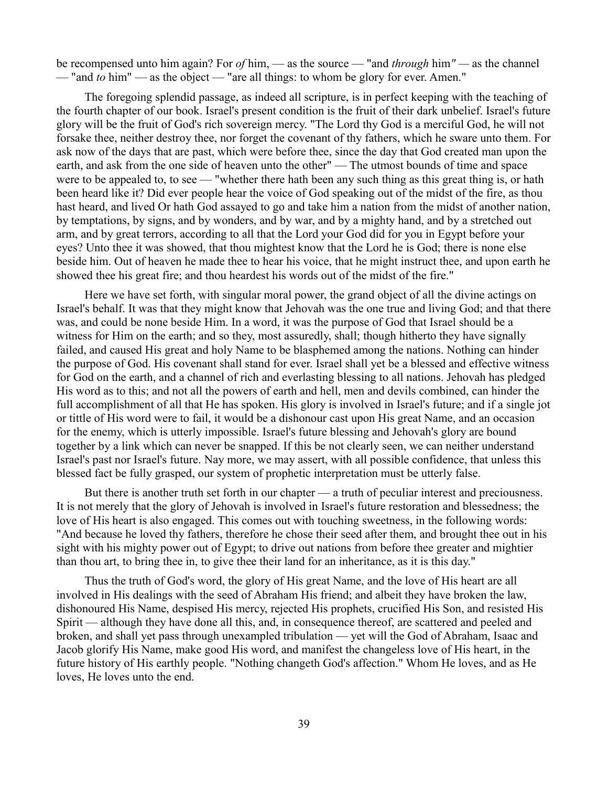be recompensed unto him again? For *of* him, — as the source — "and *through* him*" —* as the channel — "and *to* him" — as the object — "are all things: to whom be glory for ever. Amen."

The foregoing splendid passage, as indeed all scripture, is in perfect keeping with the teaching of the fourth chapter of our book. Israel's present condition is the fruit of their dark unbelief. Israel's future glory will be the fruit of God's rich sovereign mercy. "The Lord thy God is a merciful God, he will not forsake thee, neither destroy thee, nor forget the covenant of thy fathers, which he sware unto them. For ask now of the days that are past, which were before thee, since the day that God created man upon the earth, and ask from the one side of heaven unto the other" — The utmost bounds of time and space were to be appealed to, to see — "whether there hath been any such thing as this great thing is, or hath been heard like it? Did ever people hear the voice of God speaking out of the midst of the fire, as thou hast heard, and lived Or hath God assayed to go and take him a nation from the midst of another nation, by temptations, by signs, and by wonders, and by war, and by a mighty hand, and by a stretched out arm, and by great terrors, according to all that the Lord your God did for you in Egypt before your eyes? Unto thee it was showed, that thou mightest know that the Lord he is God; there is none else beside him. Out of heaven he made thee to hear his voice, that he might instruct thee, and upon earth he showed thee his great fire; and thou heardest his words out of the midst of the fire."

Here we have set forth, with singular moral power, the grand object of all the divine actings on Israel's behalf. It was that they might know that Jehovah was the one true and living God; and that there was, and could be none beside Him. In a word, it was the purpose of God that Israel should be a witness for Him on the earth; and so they, most assuredly, shall; though hitherto they have signally failed, and caused His great and holy Name to be blasphemed among the nations. Nothing can hinder the purpose of God. His covenant shall stand for ever. Israel shall yet be a blessed and effective witness for God on the earth, and a channel of rich and everlasting blessing to all nations. Jehovah has pledged His word as to this; and not all the powers of earth and hell, men and devils combined, can hinder the full accomplishment of all that He has spoken. His glory is involved in Israel's future; and if a single jot or tittle of His word were to fail, it would be a dishonour cast upon His great Name, and an occasion for the enemy, which is utterly impossible. Israel's future blessing and Jehovah's glory are bound together by a link which can never be snapped. If this be not clearly seen, we can neither understand Israel's past nor Israel's future. Nay more, we may assert, with all possible confidence, that unless this blessed fact be fully grasped, our system of prophetic interpretation must be utterly false.

But there is another truth set forth in our chapter — a truth of peculiar interest and preciousness. It is not merely that the glory of Jehovah is involved in Israel's future restoration and blessedness; the love of His heart is also engaged. This comes out with touching sweetness, in the following words: "And because he loved thy fathers, therefore he chose their seed after them, and brought thee out in his sight with his mighty power out of Egypt; to drive out nations from before thee greater and mightier than thou art, to bring thee in, to give thee their land for an inheritance, as it is this day."

Thus the truth of God's word, the glory of His great Name, and the love of His heart are all involved in His dealings with the seed of Abraham His friend; and albeit they have broken the law, dishonoured His Name, despised His mercy, rejected His prophets, crucified His Son, and resisted His Spirit — although they have done all this, and, in consequence thereof, are scattered and peeled and broken, and shall yet pass through unexampled tribulation — yet will the God of Abraham, Isaac and Jacob glorify His Name, make good His word, and manifest the changeless love of His heart, in the future history of His earthly people. "Nothing changeth God's affection." Whom He loves, and as He loves, He loves unto the end.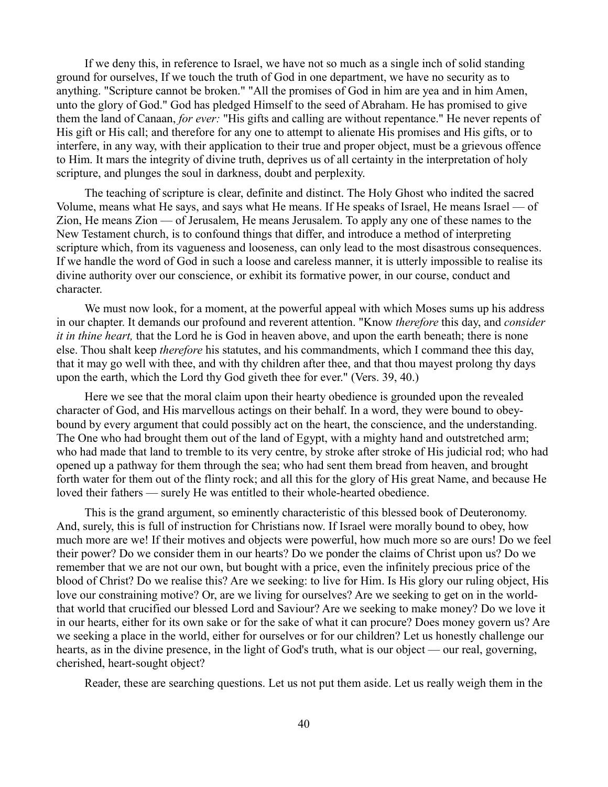If we deny this, in reference to Israel, we have not so much as a single inch of solid standing ground for ourselves, If we touch the truth of God in one department, we have no security as to anything. "Scripture cannot be broken." "All the promises of God in him are yea and in him Amen, unto the glory of God." God has pledged Himself to the seed of Abraham. He has promised to give them the land of Canaan, *for ever:* "His gifts and calling are without repentance." He never repents of His gift or His call; and therefore for any one to attempt to alienate His promises and His gifts, or to interfere, in any way, with their application to their true and proper object, must be a grievous offence to Him. It mars the integrity of divine truth, deprives us of all certainty in the interpretation of holy scripture, and plunges the soul in darkness, doubt and perplexity.

The teaching of scripture is clear, definite and distinct. The Holy Ghost who indited the sacred Volume, means what He says, and says what He means. If He speaks of Israel, He means Israel — of Zion, He means Zion — of Jerusalem, He means Jerusalem. To apply any one of these names to the New Testament church, is to confound things that differ, and introduce a method of interpreting scripture which, from its vagueness and looseness, can only lead to the most disastrous consequences. If we handle the word of God in such a loose and careless manner, it is utterly impossible to realise its divine authority over our conscience, or exhibit its formative power, in our course, conduct and character.

We must now look, for a moment, at the powerful appeal with which Moses sums up his address in our chapter. It demands our profound and reverent attention. "Know *therefore* this day, and *consider it in thine heart,* that the Lord he is God in heaven above, and upon the earth beneath; there is none else. Thou shalt keep *therefore* his statutes, and his commandments, which I command thee this day, that it may go well with thee, and with thy children after thee, and that thou mayest prolong thy days upon the earth, which the Lord thy God giveth thee for ever." (Vers. 39, 40.)

Here we see that the moral claim upon their hearty obedience is grounded upon the revealed character of God, and His marvellous actings on their behalf. In a word, they were bound to obeybound by every argument that could possibly act on the heart, the conscience, and the understanding. The One who had brought them out of the land of Egypt, with a mighty hand and outstretched arm; who had made that land to tremble to its very centre, by stroke after stroke of His judicial rod; who had opened up a pathway for them through the sea; who had sent them bread from heaven, and brought forth water for them out of the flinty rock; and all this for the glory of His great Name, and because He loved their fathers — surely He was entitled to their whole-hearted obedience.

This is the grand argument, so eminently characteristic of this blessed book of Deuteronomy. And, surely, this is full of instruction for Christians now. If Israel were morally bound to obey, how much more are we! If their motives and objects were powerful, how much more so are ours! Do we feel their power? Do we consider them in our hearts? Do we ponder the claims of Christ upon us? Do we remember that we are not our own, but bought with a price, even the infinitely precious price of the blood of Christ? Do we realise this? Are we seeking: to live for Him. Is His glory our ruling object, His love our constraining motive? Or, are we living for ourselves? Are we seeking to get on in the worldthat world that crucified our blessed Lord and Saviour? Are we seeking to make money? Do we love it in our hearts, either for its own sake or for the sake of what it can procure? Does money govern us? Are we seeking a place in the world, either for ourselves or for our children? Let us honestly challenge our hearts, as in the divine presence, in the light of God's truth, what is our object — our real, governing, cherished, heart-sought object?

Reader, these are searching questions. Let us not put them aside. Let us really weigh them in the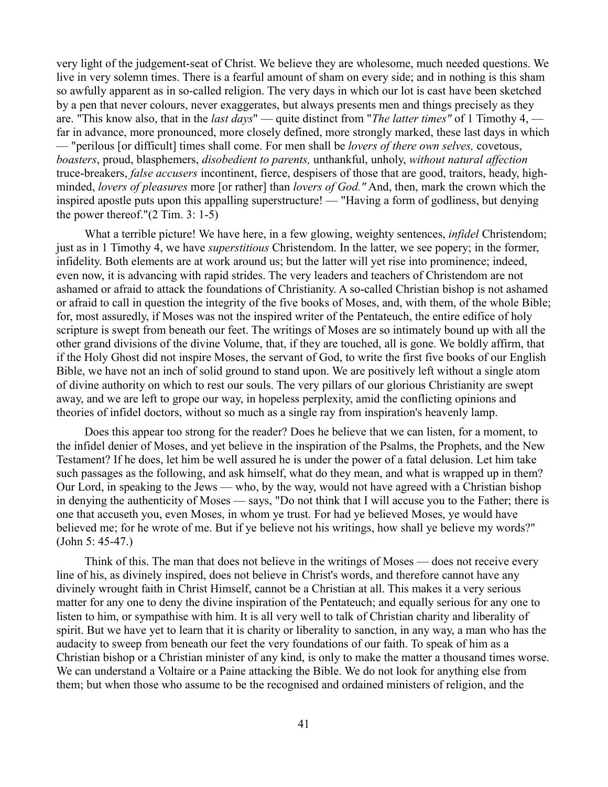very light of the judgement-seat of Christ. We believe they are wholesome, much needed questions. We live in very solemn times. There is a fearful amount of sham on every side; and in nothing is this sham so awfully apparent as in so-called religion. The very days in which our lot is cast have been sketched by a pen that never colours, never exaggerates, but always presents men and things precisely as they are. "This know also, that in the *last days*" — quite distinct from "*The latter times"* of 1 Timothy 4, far in advance, more pronounced, more closely defined, more strongly marked, these last days in which — "perilous [or difficult] times shall come. For men shall be *lovers of there own selves,* covetous, *boasters*, proud, blasphemers, *disobedient to parents,* unthankful, unholy, *without natural affection* truce-breakers, *false accusers* incontinent, fierce, despisers of those that are good, traitors, heady, highminded, *lovers of pleasures* more [or rather] than *lovers of God."* And, then, mark the crown which the inspired apostle puts upon this appalling superstructure! — "Having a form of godliness, but denying the power thereof." $(2$  Tim. 3: 1-5)

What a terrible picture! We have here, in a few glowing, weighty sentences, *infidel* Christendom; just as in 1 Timothy 4, we have *superstitious* Christendom. In the latter, we see popery; in the former, infidelity. Both elements are at work around us; but the latter will yet rise into prominence; indeed, even now, it is advancing with rapid strides. The very leaders and teachers of Christendom are not ashamed or afraid to attack the foundations of Christianity. A so-called Christian bishop is not ashamed or afraid to call in question the integrity of the five books of Moses, and, with them, of the whole Bible; for, most assuredly, if Moses was not the inspired writer of the Pentateuch, the entire edifice of holy scripture is swept from beneath our feet. The writings of Moses are so intimately bound up with all the other grand divisions of the divine Volume, that, if they are touched, all is gone. We boldly affirm, that if the Holy Ghost did not inspire Moses, the servant of God, to write the first five books of our English Bible, we have not an inch of solid ground to stand upon. We are positively left without a single atom of divine authority on which to rest our souls. The very pillars of our glorious Christianity are swept away, and we are left to grope our way, in hopeless perplexity, amid the conflicting opinions and theories of infidel doctors, without so much as a single ray from inspiration's heavenly lamp.

Does this appear too strong for the reader? Does he believe that we can listen, for a moment, to the infidel denier of Moses, and yet believe in the inspiration of the Psalms, the Prophets, and the New Testament? If he does, let him be well assured he is under the power of a fatal delusion. Let him take such passages as the following, and ask himself, what do they mean, and what is wrapped up in them? Our Lord, in speaking to the Jews — who, by the way, would not have agreed with a Christian bishop in denying the authenticity of Moses — says, "Do not think that I will accuse you to the Father; there is one that accuseth you, even Moses, in whom ye trust. For had ye believed Moses, ye would have believed me; for he wrote of me. But if ye believe not his writings, how shall ye believe my words?" (John 5: 45-47.)

Think of this. The man that does not believe in the writings of Moses — does not receive every line of his, as divinely inspired, does not believe in Christ's words, and therefore cannot have any divinely wrought faith in Christ Himself, cannot be a Christian at all. This makes it a very serious matter for any one to deny the divine inspiration of the Pentateuch; and equally serious for any one to listen to him, or sympathise with him. It is all very well to talk of Christian charity and liberality of spirit. But we have yet to learn that it is charity or liberality to sanction, in any way, a man who has the audacity to sweep from beneath our feet the very foundations of our faith. To speak of him as a Christian bishop or a Christian minister of any kind, is only to make the matter a thousand times worse. We can understand a Voltaire or a Paine attacking the Bible. We do not look for anything else from them; but when those who assume to be the recognised and ordained ministers of religion, and the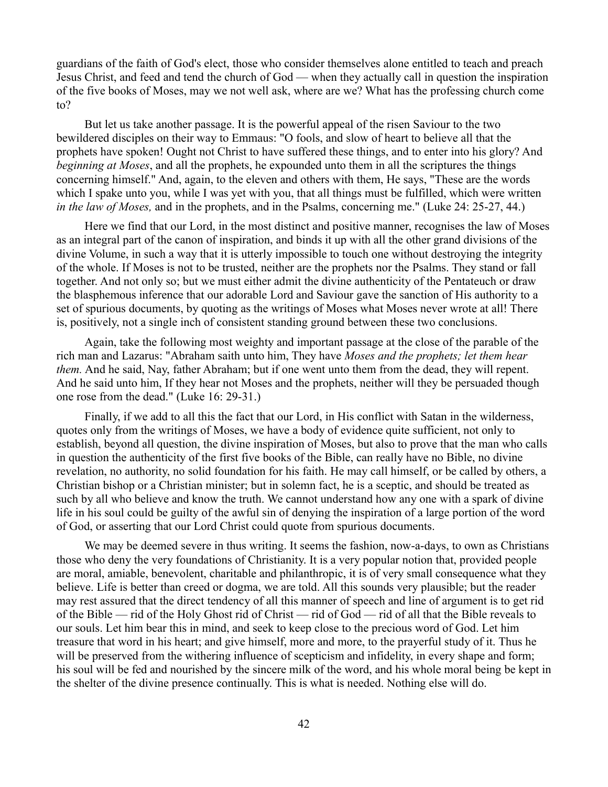guardians of the faith of God's elect, those who consider themselves alone entitled to teach and preach Jesus Christ, and feed and tend the church of God — when they actually call in question the inspiration of the five books of Moses, may we not well ask, where are we? What has the professing church come to?

But let us take another passage. It is the powerful appeal of the risen Saviour to the two bewildered disciples on their way to Emmaus: "O fools, and slow of heart to believe all that the prophets have spoken! Ought not Christ to have suffered these things, and to enter into his glory? And *beginning at Moses*, and all the prophets, he expounded unto them in all the scriptures the things concerning himself." And, again, to the eleven and others with them, He says, "These are the words which I spake unto you, while I was yet with you, that all things must be fulfilled, which were written *in the law of Moses,* and in the prophets, and in the Psalms, concerning me." (Luke 24: 25-27, 44.)

Here we find that our Lord, in the most distinct and positive manner, recognises the law of Moses as an integral part of the canon of inspiration, and binds it up with all the other grand divisions of the divine Volume, in such a way that it is utterly impossible to touch one without destroying the integrity of the whole. If Moses is not to be trusted, neither are the prophets nor the Psalms. They stand or fall together. And not only so; but we must either admit the divine authenticity of the Pentateuch or draw the blasphemous inference that our adorable Lord and Saviour gave the sanction of His authority to a set of spurious documents, by quoting as the writings of Moses what Moses never wrote at all! There is, positively, not a single inch of consistent standing ground between these two conclusions.

Again, take the following most weighty and important passage at the close of the parable of the rich man and Lazarus: "Abraham saith unto him, They have *Moses and the prophets; let them hear them.* And he said, Nay, father Abraham; but if one went unto them from the dead, they will repent. And he said unto him, If they hear not Moses and the prophets, neither will they be persuaded though one rose from the dead." (Luke 16: 29-31.)

Finally, if we add to all this the fact that our Lord, in His conflict with Satan in the wilderness, quotes only from the writings of Moses, we have a body of evidence quite sufficient, not only to establish, beyond all question, the divine inspiration of Moses, but also to prove that the man who calls in question the authenticity of the first five books of the Bible, can really have no Bible, no divine revelation, no authority, no solid foundation for his faith. He may call himself, or be called by others, a Christian bishop or a Christian minister; but in solemn fact, he is a sceptic, and should be treated as such by all who believe and know the truth. We cannot understand how any one with a spark of divine life in his soul could be guilty of the awful sin of denying the inspiration of a large portion of the word of God, or asserting that our Lord Christ could quote from spurious documents.

We may be deemed severe in thus writing. It seems the fashion, now-a-days, to own as Christians those who deny the very foundations of Christianity. It is a very popular notion that, provided people are moral, amiable, benevolent, charitable and philanthropic, it is of very small consequence what they believe. Life is better than creed or dogma, we are told. All this sounds very plausible; but the reader may rest assured that the direct tendency of all this manner of speech and line of argument is to get rid of the Bible — rid of the Holy Ghost rid of Christ — rid of God — rid of all that the Bible reveals to our souls. Let him bear this in mind, and seek to keep close to the precious word of God. Let him treasure that word in his heart; and give himself, more and more, to the prayerful study of it. Thus he will be preserved from the withering influence of scepticism and infidelity, in every shape and form; his soul will be fed and nourished by the sincere milk of the word, and his whole moral being be kept in the shelter of the divine presence continually. This is what is needed. Nothing else will do.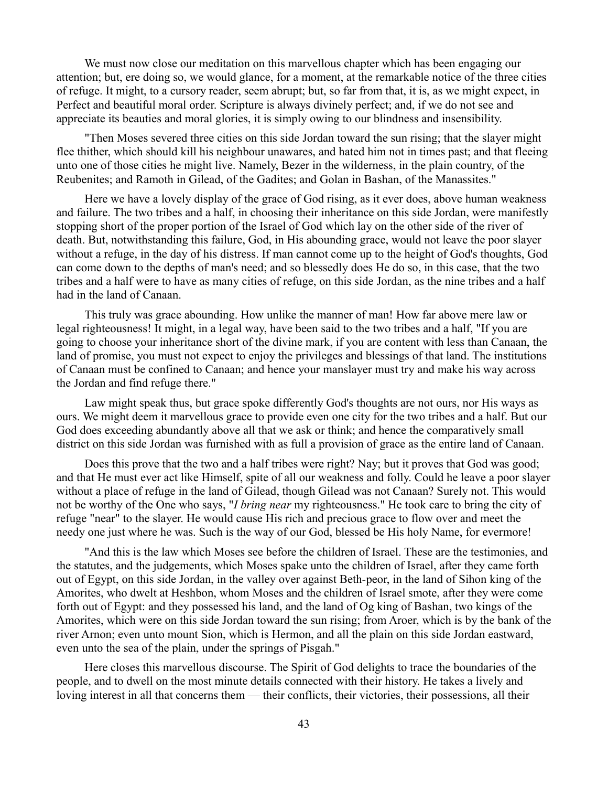We must now close our meditation on this marvellous chapter which has been engaging our attention; but, ere doing so, we would glance, for a moment, at the remarkable notice of the three cities of refuge. It might, to a cursory reader, seem abrupt; but, so far from that, it is, as we might expect, in Perfect and beautiful moral order. Scripture is always divinely perfect; and, if we do not see and appreciate its beauties and moral glories, it is simply owing to our blindness and insensibility.

"Then Moses severed three cities on this side Jordan toward the sun rising; that the slayer might flee thither, which should kill his neighbour unawares, and hated him not in times past; and that fleeing unto one of those cities he might live. Namely, Bezer in the wilderness, in the plain country, of the Reubenites; and Ramoth in Gilead, of the Gadites; and Golan in Bashan, of the Manassites."

Here we have a lovely display of the grace of God rising, as it ever does, above human weakness and failure. The two tribes and a half, in choosing their inheritance on this side Jordan, were manifestly stopping short of the proper portion of the Israel of God which lay on the other side of the river of death. But, notwithstanding this failure, God, in His abounding grace, would not leave the poor slayer without a refuge, in the day of his distress. If man cannot come up to the height of God's thoughts, God can come down to the depths of man's need; and so blessedly does He do so, in this case, that the two tribes and a half were to have as many cities of refuge, on this side Jordan, as the nine tribes and a half had in the land of Canaan.

This truly was grace abounding. How unlike the manner of man! How far above mere law or legal righteousness! It might, in a legal way, have been said to the two tribes and a half, "If you are going to choose your inheritance short of the divine mark, if you are content with less than Canaan, the land of promise, you must not expect to enjoy the privileges and blessings of that land. The institutions of Canaan must be confined to Canaan; and hence your manslayer must try and make his way across the Jordan and find refuge there."

Law might speak thus, but grace spoke differently God's thoughts are not ours, nor His ways as ours. We might deem it marvellous grace to provide even one city for the two tribes and a half. But our God does exceeding abundantly above all that we ask or think; and hence the comparatively small district on this side Jordan was furnished with as full a provision of grace as the entire land of Canaan.

Does this prove that the two and a half tribes were right? Nay; but it proves that God was good; and that He must ever act like Himself, spite of all our weakness and folly. Could he leave a poor slayer without a place of refuge in the land of Gilead, though Gilead was not Canaan? Surely not. This would not be worthy of the One who says, "*I bring near* my righteousness." He took care to bring the city of refuge "near" to the slayer. He would cause His rich and precious grace to flow over and meet the needy one just where he was. Such is the way of our God, blessed be His holy Name, for evermore!

"And this is the law which Moses see before the children of Israel. These are the testimonies, and the statutes, and the judgements, which Moses spake unto the children of Israel, after they came forth out of Egypt, on this side Jordan, in the valley over against Beth-peor, in the land of Sihon king of the Amorites, who dwelt at Heshbon, whom Moses and the children of Israel smote, after they were come forth out of Egypt: and they possessed his land, and the land of Og king of Bashan, two kings of the Amorites, which were on this side Jordan toward the sun rising; from Aroer, which is by the bank of the river Arnon; even unto mount Sion, which is Hermon, and all the plain on this side Jordan eastward, even unto the sea of the plain, under the springs of Pisgah."

Here closes this marvellous discourse. The Spirit of God delights to trace the boundaries of the people, and to dwell on the most minute details connected with their history. He takes a lively and loving interest in all that concerns them — their conflicts, their victories, their possessions, all their